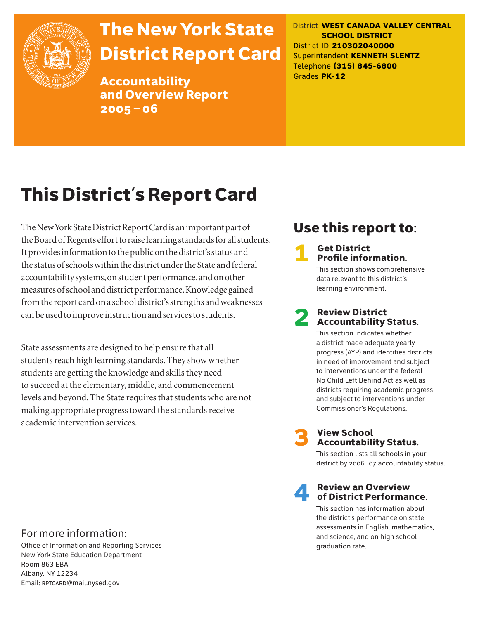

# The New York State District Report Card

Accountability and Overview Report 2005–06

District **WEST CANADA VALLEY CENTRAL SCHOOL DISTRICT** District ID **210302040000** Superintendent **KENNETH SLENTZ** Telephone **(315) 845-6800** Grades **PK-12**

# This District's Report Card

The New York State District Report Card is an important part of the Board of Regents effort to raise learning standards for all students. It provides information to the public on the district's status and the status of schools within the district under the State and federal accountability systems, on student performance, and on other measures of school and district performance. Knowledge gained from the report card on a school district's strengths and weaknesses can be used to improve instruction and services to students.

State assessments are designed to help ensure that all students reach high learning standards. They show whether students are getting the knowledge and skills they need to succeed at the elementary, middle, and commencement levels and beyond. The State requires that students who are not making appropriate progress toward the standards receive academic intervention services.

# Use this report to:

# **1** Get District<br>**Profile information.**

This section shows comprehensive data relevant to this district's learning environment.

# **2** Review District<br>Accountability Status.

This section indicates whether a district made adequate yearly progress (AYP) and identifies districts in need of improvement and subject to interventions under the federal No Child Left Behind Act as well as districts requiring academic progress and subject to interventions under Commissioner's Regulations.



# **3** View School<br>Accountability Status.

This section lists all schools in your district by 2006–07 accountability status.

# **A** Review an Overview<br>
of District Performance.

This section has information about the district's performance on state assessments in English, mathematics, and science, and on high school graduation rate.

### For more information:

Office of Information and Reporting Services New York State Education Department Room 863 EBA Albany, NY 12234 Email: RPTCARD@mail.nysed.gov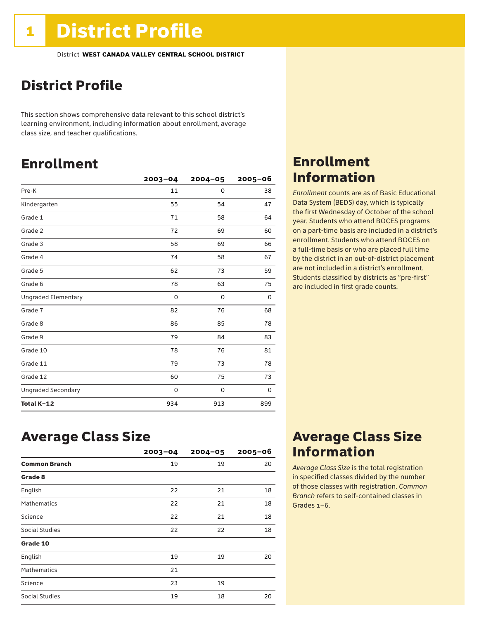# District Profile

This section shows comprehensive data relevant to this school district's learning environment, including information about enrollment, average class size, and teacher qualifications.

# Enrollment

|                            | $2003 - 04$ | $2004 - 05$ | 2005-06 |
|----------------------------|-------------|-------------|---------|
| Pre-K                      | 11          | 0           | 38      |
| Kindergarten               | 55          | 54          | 47      |
| Grade 1                    | 71          | 58          | 64      |
| Grade 2                    | 72          | 69          | 60      |
| Grade 3                    | 58          | 69          | 66      |
| Grade 4                    | 74          | 58          | 67      |
| Grade 5                    | 62          | 73          | 59      |
| Grade 6                    | 78          | 63          | 75      |
| <b>Ungraded Elementary</b> | 0           | 0           | 0       |
| Grade 7                    | 82          | 76          | 68      |
| Grade 8                    | 86          | 85          | 78      |
| Grade 9                    | 79          | 84          | 83      |
| Grade 10                   | 78          | 76          | 81      |
| Grade 11                   | 79          | 73          | 78      |
| Grade 12                   | 60          | 75          | 73      |
| <b>Ungraded Secondary</b>  | 0           | 0           | 0       |
| Total K-12                 | 934         | 913         | 899     |

# Enrollment Information

*Enrollment* counts are as of Basic Educational Data System (BEDS) day, which is typically the first Wednesday of October of the school year. Students who attend BOCES programs on a part-time basis are included in a district's enrollment. Students who attend BOCES on a full-time basis or who are placed full time by the district in an out-of-district placement are not included in a district's enrollment. Students classified by districts as "pre-first" are included in first grade counts.

## Average Class Size

|                       | $2003 - 04$ | $2004 - 05$ | $2005 - 06$ |
|-----------------------|-------------|-------------|-------------|
| <b>Common Branch</b>  | 19          | 19          | 20          |
| Grade 8               |             |             |             |
| English               | 22          | 21          | 18          |
| <b>Mathematics</b>    | 22          | 21          | 18          |
| Science               | 22          | 21          | 18          |
| <b>Social Studies</b> | 22          | 22          | 18          |
| Grade 10              |             |             |             |
| English               | 19          | 19          | 20          |
| <b>Mathematics</b>    | 21          |             |             |
| Science               | 23          | 19          |             |
| Social Studies        | 19          | 18          | 20          |

# Average Class Size Information

*Average Class Size* is the total registration in specified classes divided by the number of those classes with registration. *Common Branch* refers to self-contained classes in Grades 1–6.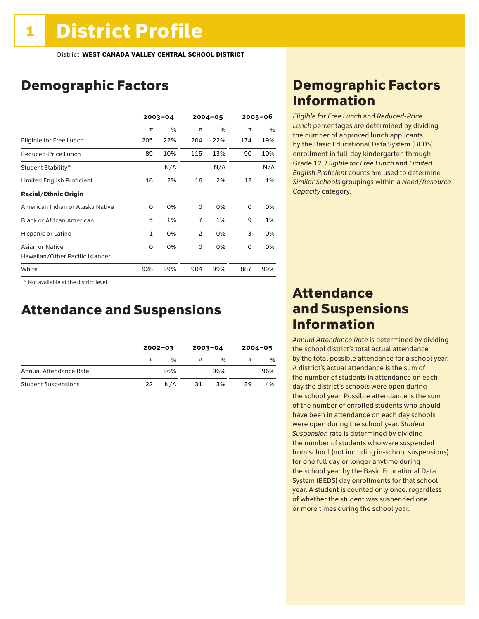# Demographic Factors

|                                                    | $2003 - 04$ |     | $2004 - 05$    |               | $2005 - 06$ |     |
|----------------------------------------------------|-------------|-----|----------------|---------------|-------------|-----|
|                                                    | #           | %   | #              | $\frac{0}{0}$ | #           | %   |
| Eligible for Free Lunch                            | 205         | 22% | 204            | 22%           | 174         | 19% |
| Reduced-Price Lunch                                | 89          | 10% | 115            | 13%           | 90          | 10% |
| Student Stability*                                 |             | N/A |                | N/A           |             | N/A |
| Limited English Proficient                         | 16          | 2%  | 16             | 2%            | 12          | 1%  |
| <b>Racial/Ethnic Origin</b>                        |             |     |                |               |             |     |
| American Indian or Alaska Native                   | 0           | 0%  | 0              | 0%            | 0           | 0%  |
| <b>Black or African American</b>                   | 5           | 1%  | $\overline{7}$ | 1%            | 9           | 1%  |
| Hispanic or Latino                                 | 1           | 0%  | 2              | 0%            | 3           | 0%  |
| Asian or Native<br>Hawaiian/Other Pacific Islander | 0           | 0%  | 0              | 0%            | 0           | 0%  |
| White                                              | 928         | 99% | 904            | 99%           | 887         | 99% |

 \* Not available at the district level.

# Attendance and Suspensions

|                            |    | $2002 - 03$   |    | $2003 - 04$   |    | $2004 - 05$ |  |
|----------------------------|----|---------------|----|---------------|----|-------------|--|
|                            | #  | $\frac{0}{6}$ | #  | $\frac{0}{0}$ | #  | $\%$        |  |
| Annual Attendance Rate     |    | 96%           |    | 96%           |    | 96%         |  |
| <b>Student Suspensions</b> | 22 | N/A           | 31 | 3%            | 39 | 4%          |  |

# Demographic Factors Information

*Eligible for Free Lunch* and *Reduced*-*Price Lunch* percentages are determined by dividing the number of approved lunch applicants by the Basic Educational Data System (BEDS) enrollment in full-day kindergarten through Grade 12. *Eligible for Free Lunch* and *Limited English Proficient* counts are used to determine *Similar Schools* groupings within a *Need*/*Resource Capacity* category.

## Attendance and Suspensions Information

*Annual Attendance Rate* is determined by dividing the school district's total actual attendance by the total possible attendance for a school year. A district's actual attendance is the sum of the number of students in attendance on each day the district's schools were open during the school year. Possible attendance is the sum of the number of enrolled students who should have been in attendance on each day schools were open during the school year. *Student Suspension* rate is determined by dividing the number of students who were suspended from school (not including in-school suspensions) for one full day or longer anytime during the school year by the Basic Educational Data System (BEDS) day enrollments for that school year. A student is counted only once, regardless of whether the student was suspended one or more times during the school year.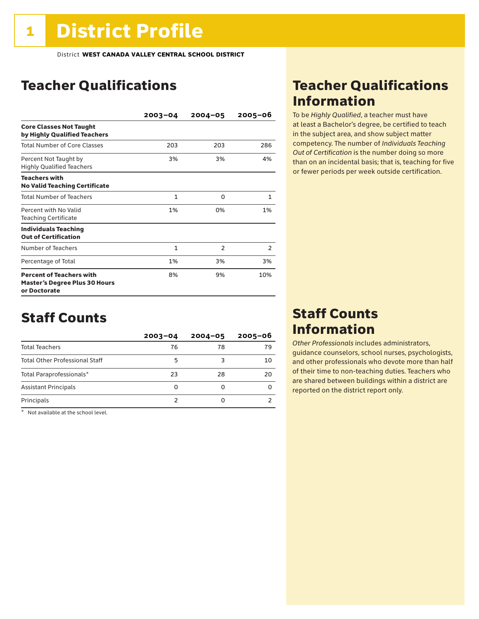# Teacher Qualifications

|                                                                                         | $2003 - 04$ | $2004 - 05$    | $2005 - 06$ |
|-----------------------------------------------------------------------------------------|-------------|----------------|-------------|
| <b>Core Classes Not Taught</b><br>by Highly Qualified Teachers                          |             |                |             |
| <b>Total Number of Core Classes</b>                                                     | 203         | 203            | 286         |
| Percent Not Taught by<br><b>Highly Qualified Teachers</b>                               | 3%          | 3%             | 4%          |
| <b>Teachers with</b><br><b>No Valid Teaching Certificate</b>                            |             |                |             |
| <b>Total Number of Teachers</b>                                                         | 1           | $\Omega$       | 1           |
| Percent with No Valid<br><b>Teaching Certificate</b>                                    | 1%          | 0%             | 1%          |
| <b>Individuals Teaching</b><br><b>Out of Certification</b>                              |             |                |             |
| Number of Teachers                                                                      | 1           | $\overline{2}$ | 2           |
| Percentage of Total                                                                     | 1%          | 3%             | 3%          |
| <b>Percent of Teachers with</b><br><b>Master's Degree Plus 30 Hours</b><br>or Doctorate | 8%          | 9%             | 10%         |

# Staff Counts

|                                       | $2003 - 04$ | $2004 - 05$ | $2005 - 06$ |
|---------------------------------------|-------------|-------------|-------------|
| <b>Total Teachers</b>                 | 76          | 78          | 79          |
| <b>Total Other Professional Staff</b> | 5           |             | 10          |
| Total Paraprofessionals*              | 23          | 28          | 20          |
| <b>Assistant Principals</b>           | O           | ŋ           |             |
| Principals                            |             | ŋ           |             |

\* Not available at the school level.

# Teacher Qualifications Information

To be *Highly Qualified*, a teacher must have at least a Bachelor's degree, be certified to teach in the subject area, and show subject matter competency. The number of *Individuals Teaching Out of Certification* is the number doing so more than on an incidental basis; that is, teaching for five or fewer periods per week outside certification.

# Staff Counts Information

*Other Professionals* includes administrators, guidance counselors, school nurses, psychologists, and other professionals who devote more than half of their time to non-teaching duties. Teachers who are shared between buildings within a district are reported on the district report only.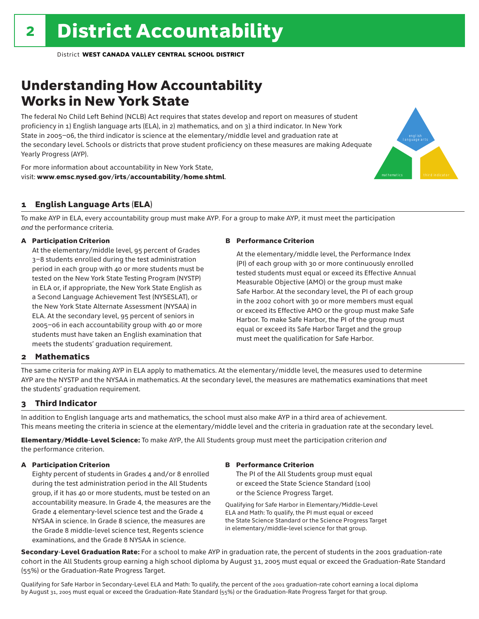# Understanding How Accountability Works in New York State

The federal No Child Left Behind (NCLB) Act requires that states develop and report on measures of student proficiency in 1) English language arts (ELA), in 2) mathematics, and on 3) a third indicator. In New York State in 2005–06, the third indicator is science at the elementary/middle level and graduation rate at the secondary level. Schools or districts that prove student proficiency on these measures are making Adequate Yearly Progress (AYP).

For more information about accountability in New York State, visit: www.emsc.nysed.gov/irts/accountability/home.shtml.

### 1 English Language Arts (ELA)

To make AYP in ELA, every accountability group must make AYP. For a group to make AYP, it must meet the participation *and* the performance criteria.

### A Participation Criterion

At the elementary/middle level, 95 percent of Grades 3–8 students enrolled during the test administration period in each group with 40 or more students must be tested on the New York State Testing Program (NYSTP) in ELA or, if appropriate, the New York State English as a Second Language Achievement Test (NYSESLAT), or the New York State Alternate Assessment (NYSAA) in ELA. At the secondary level, 95 percent of seniors in 2005–06 in each accountability group with 40 or more students must have taken an English examination that meets the students' graduation requirement.

### B Performance Criterion

At the elementary/middle level, the Performance Index (PI) of each group with 30 or more continuously enrolled tested students must equal or exceed its Effective Annual Measurable Objective (AMO) or the group must make Safe Harbor. At the secondary level, the PI of each group in the 2002 cohort with 30 or more members must equal or exceed its Effective AMO or the group must make Safe Harbor. To make Safe Harbor, the PI of the group must equal or exceed its Safe Harbor Target and the group must meet the qualification for Safe Harbor.

english language arts

mathematics **third indicator** 

### 2 Mathematics

The same criteria for making AYP in ELA apply to mathematics. At the elementary/middle level, the measures used to determine AYP are the NYSTP and the NYSAA in mathematics. At the secondary level, the measures are mathematics examinations that meet the students' graduation requirement.

### 3 Third Indicator

In addition to English language arts and mathematics, the school must also make AYP in a third area of achievement. This means meeting the criteria in science at the elementary/middle level and the criteria in graduation rate at the secondary level.

Elementary/Middle-Level Science: To make AYP, the All Students group must meet the participation criterion *and* the performance criterion.

### A Participation Criterion

Eighty percent of students in Grades 4 and/or 8 enrolled during the test administration period in the All Students group, if it has 40 or more students, must be tested on an accountability measure. In Grade 4, the measures are the Grade 4 elementary-level science test and the Grade 4 NYSAA in science. In Grade 8 science, the measures are the Grade 8 middle-level science test, Regents science examinations, and the Grade 8 NYSAA in science.

### B Performance Criterion

The PI of the All Students group must equal or exceed the State Science Standard (100) or the Science Progress Target.

Qualifying for Safe Harbor in Elementary/Middle-Level ELA and Math: To qualify, the PI must equal or exceed the State Science Standard or the Science Progress Target in elementary/middle-level science for that group.

Secondary-Level Graduation Rate: For a school to make AYP in graduation rate, the percent of students in the 2001 graduation-rate cohort in the All Students group earning a high school diploma by August 31, 2005 must equal or exceed the Graduation-Rate Standard (55%) or the Graduation-Rate Progress Target.

Qualifying for Safe Harbor in Secondary-Level ELA and Math: To qualify, the percent of the 2001 graduation-rate cohort earning a local diploma by August 31, 2005 must equal or exceed the Graduation-Rate Standard (55%) or the Graduation-Rate Progress Target for that group.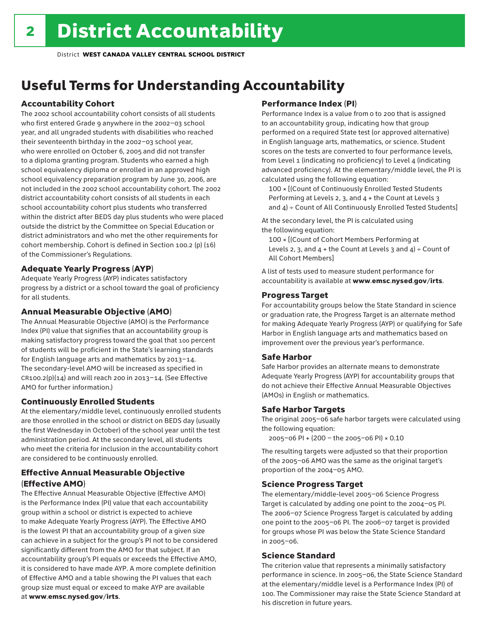# Useful Terms for Understanding Accountability

### Accountability Cohort

The 2002 school accountability cohort consists of all students who first entered Grade 9 anywhere in the 2002–03 school year, and all ungraded students with disabilities who reached their seventeenth birthday in the 2002–03 school year, who were enrolled on October 6, 2005 and did not transfer to a diploma granting program. Students who earned a high school equivalency diploma or enrolled in an approved high school equivalency preparation program by June 30, 2006, are not included in the 2002 school accountability cohort. The 2002 district accountability cohort consists of all students in each school accountability cohort plus students who transferred within the district after BEDS day plus students who were placed outside the district by the Committee on Special Education or district administrators and who met the other requirements for cohort membership. Cohort is defined in Section 100.2 (p) (16) of the Commissioner's Regulations.

### Adequate Yearly Progress (AYP)

Adequate Yearly Progress (AYP) indicates satisfactory progress by a district or a school toward the goal of proficiency for all students.

### Annual Measurable Objective (AMO)

The Annual Measurable Objective (AMO) is the Performance Index (PI) value that signifies that an accountability group is making satisfactory progress toward the goal that 100 percent of students will be proficient in the State's learning standards for English language arts and mathematics by 2013–14. The secondary-level AMO will be increased as specified in  $CR100.2(p)(14)$  and will reach 200 in 2013-14. (See Effective AMO for further information.)

### Continuously Enrolled Students

At the elementary/middle level, continuously enrolled students are those enrolled in the school or district on BEDS day (usually the first Wednesday in October) of the school year until the test administration period. At the secondary level, all students who meet the criteria for inclusion in the accountability cohort are considered to be continuously enrolled.

### Effective Annual Measurable Objective (Effective AMO)

The Effective Annual Measurable Objective (Effective AMO) is the Performance Index (PI) value that each accountability group within a school or district is expected to achieve to make Adequate Yearly Progress (AYP). The Effective AMO is the lowest PI that an accountability group of a given size can achieve in a subject for the group's PI not to be considered significantly different from the AMO for that subject. If an accountability group's PI equals or exceeds the Effective AMO, it is considered to have made AYP. A more complete definition of Effective AMO and a table showing the PI values that each group size must equal or exceed to make AYP are available at www.emsc.nysed.gov/irts.

### Performance Index (PI)

Performance Index is a value from 0 to 200 that is assigned to an accountability group, indicating how that group performed on a required State test (or approved alternative) in English language arts, mathematics, or science. Student scores on the tests are converted to four performance levels, from Level 1 (indicating no proficiency) to Level 4 (indicating advanced proficiency). At the elementary/middle level, the PI is calculated using the following equation:

100 × [(Count of Continuously Enrolled Tested Students Performing at Levels 2, 3, and 4 + the Count at Levels 3 and  $4$ ) ÷ Count of All Continuously Enrolled Tested Students]

At the secondary level, the PI is calculated using the following equation:

100 × [(Count of Cohort Members Performing at Levels 2, 3, and  $4 +$  the Count at Levels 3 and  $4$ ) ÷ Count of All Cohort Members]

A list of tests used to measure student performance for accountability is available at www.emsc.nysed.gov/irts.

### Progress Target

For accountability groups below the State Standard in science or graduation rate, the Progress Target is an alternate method for making Adequate Yearly Progress (AYP) or qualifying for Safe Harbor in English language arts and mathematics based on improvement over the previous year's performance.

### Safe Harbor

Safe Harbor provides an alternate means to demonstrate Adequate Yearly Progress (AYP) for accountability groups that do not achieve their Effective Annual Measurable Objectives (AMOs) in English or mathematics.

### Safe Harbor Targets

The original 2005–06 safe harbor targets were calculated using the following equation:

2005–06 PI + (200 – the 2005–06 PI) × 0.10

The resulting targets were adjusted so that their proportion of the 2005–06 AMO was the same as the original target's proportion of the 2004–05 AMO.

### Science Progress Target

The elementary/middle-level 2005–06 Science Progress Target is calculated by adding one point to the 2004–05 PI. The 2006–07 Science Progress Target is calculated by adding one point to the 2005–06 PI. The 2006–07 target is provided for groups whose PI was below the State Science Standard in 2005–06.

### Science Standard

The criterion value that represents a minimally satisfactory performance in science. In 2005–06, the State Science Standard at the elementary/middle level is a Performance Index (PI) of 100. The Commissioner may raise the State Science Standard at his discretion in future years.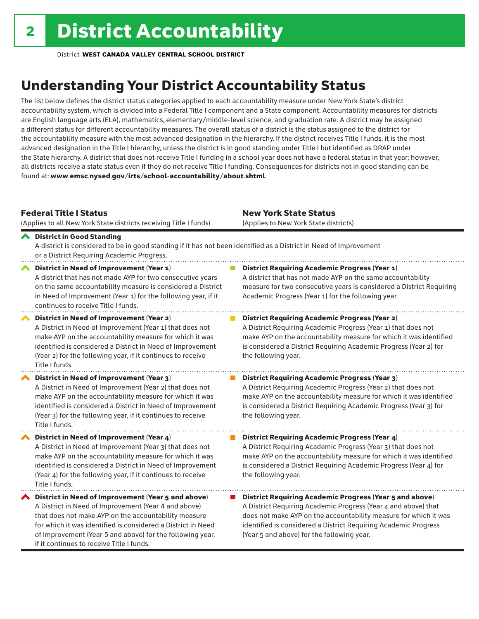# Understanding Your District Accountability Status

The list below defines the district status categories applied to each accountability measure under New York State's district accountability system, which is divided into a Federal Title I component and a State component. Accountability measures for districts are English language arts (ELA), mathematics, elementary/middle-level science, and graduation rate. A district may be assigned a different status for different accountability measures. The overall status of a district is the status assigned to the district for the accountability measure with the most advanced designation in the hierarchy. If the district receives Title I funds, it is the most advanced designation in the Title I hierarchy, unless the district is in good standing under Title I but identified as DRAP under the State hierarchy. A district that does not receive Title I funding in a school year does not have a federal status in that year; however, all districts receive a state status even if they do not receive Title I funding. Consequences for districts not in good standing can be found at: www.emsc.nysed.gov/irts/school-accountability/about.shtml.

### Federal Title I Status

New York State Status

| (Applies to all New York State districts receiving Title I funds)                                                                                                                                                                                                                                                                            | (Applies to New York State districts)                                                                                                                                                                                                                                                                                 |
|----------------------------------------------------------------------------------------------------------------------------------------------------------------------------------------------------------------------------------------------------------------------------------------------------------------------------------------------|-----------------------------------------------------------------------------------------------------------------------------------------------------------------------------------------------------------------------------------------------------------------------------------------------------------------------|
| ← District in Good Standing<br>A district is considered to be in good standing if it has not been identified as a District in Need of Improvement<br>or a District Requiring Academic Progress.                                                                                                                                              |                                                                                                                                                                                                                                                                                                                       |
| District in Need of Improvement (Year 1)<br>A district that has not made AYP for two consecutive years<br>on the same accountability measure is considered a District<br>in Need of Improvement (Year 1) for the following year, if it<br>continues to receive Title I funds.                                                                | <b>District Requiring Academic Progress (Year 1)</b><br>A district that has not made AYP on the same accountability<br>measure for two consecutive years is considered a District Requiring<br>Academic Progress (Year 1) for the following year.                                                                     |
| District in Need of Improvement (Year 2)<br>A District in Need of Improvement (Year 1) that does not<br>make AYP on the accountability measure for which it was<br>identified is considered a District in Need of Improvement<br>(Year 2) for the following year, if it continues to receive<br>Title I funds.                               | <b>District Requiring Academic Progress (Year 2)</b><br>A District Requiring Academic Progress (Year 1) that does not<br>make AYP on the accountability measure for which it was identified<br>is considered a District Requiring Academic Progress (Year 2) for<br>the following year.                               |
| <b>District in Need of Improvement (Year 3)</b><br>A District in Need of Improvement (Year 2) that does not<br>make AYP on the accountability measure for which it was<br>identified is considered a District in Need of Improvement<br>(Year 3) for the following year, if it continues to receive<br>Title I funds.                        | <b>District Requiring Academic Progress (Year 3)</b><br>A District Requiring Academic Progress (Year 2) that does not<br>make AYP on the accountability measure for which it was identified<br>is considered a District Requiring Academic Progress (Year 3) for<br>the following year.                               |
| District in Need of Improvement (Year 4)<br>A District in Need of Improvement (Year 3) that does not<br>make AYP on the accountability measure for which it was<br>identified is considered a District in Need of Improvement<br>(Year 4) for the following year, if it continues to receive<br>Title I funds.                               | <b>District Requiring Academic Progress (Year 4)</b><br>A District Requiring Academic Progress (Year 3) that does not<br>make AYP on the accountability measure for which it was identified<br>is considered a District Requiring Academic Progress (Year 4) for<br>the following year.                               |
| District in Need of Improvement (Year 5 and above)<br>A District in Need of Improvement (Year 4 and above)<br>that does not make AYP on the accountability measure<br>for which it was identified is considered a District in Need<br>of Improvement (Year 5 and above) for the following year,<br>if it continues to receive Title I funds. | <b>District Requiring Academic Progress (Year 5 and above)</b><br>A District Requiring Academic Progress (Year 4 and above) that<br>does not make AYP on the accountability measure for which it was<br>identified is considered a District Requiring Academic Progress<br>(Year 5 and above) for the following year. |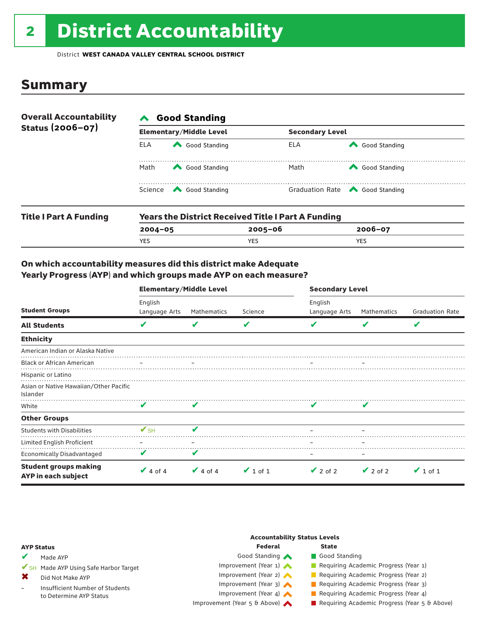# 2 District Accountability

District **WEST CANADA VALLEY CENTRAL SCHOOL DISTRICT**

## Summary

| <b>Overall Accountability</b> | <b>Good Standing</b> |                                                           |      |                                       |  |  |  |
|-------------------------------|----------------------|-----------------------------------------------------------|------|---------------------------------------|--|--|--|
| Status (2006-07)              |                      | <b>Elementary/Middle Level</b>                            |      | <b>Secondary Level</b>                |  |  |  |
|                               | <b>ELA</b>           | Good Standing                                             | ELA  | Good Standing                         |  |  |  |
|                               | Math                 | Good Standing                                             | Math | Good Standing                         |  |  |  |
|                               |                      | Science <a> Good Standing</a>                             |      | Graduation Rate <a> Good Standing</a> |  |  |  |
| <b>Title I Part A Funding</b> |                      | <b>Years the District Received Title I Part A Funding</b> |      |                                       |  |  |  |

| <b>Title I Part A Funding</b> |             | rears the District Received Title Fraft A Funding |         |  |  |  |  |
|-------------------------------|-------------|---------------------------------------------------|---------|--|--|--|--|
|                               | $2004 - 05$ | $2005 - 06$                                       | 2006-07 |  |  |  |  |
|                               | <b>YES</b>  | YES                                               | YES     |  |  |  |  |
|                               |             |                                                   |         |  |  |  |  |

### On which accountability measures did this district make Adequate Yearly Progress (AYP) and which groups made AYP on each measure?

|                                                     | <b>Elementary/Middle Level</b> |               |               | <b>Secondary Level</b>   |               |                        |  |
|-----------------------------------------------------|--------------------------------|---------------|---------------|--------------------------|---------------|------------------------|--|
| <b>Student Groups</b>                               | English<br>Language Arts       | Mathematics   | Science       | English<br>Language Arts | Mathematics   | <b>Graduation Rate</b> |  |
| <b>All Students</b>                                 | V                              | V             | V             |                          | V             | V                      |  |
| <b>Ethnicity</b>                                    |                                |               |               |                          |               |                        |  |
| American Indian or Alaska Native                    |                                |               |               |                          |               |                        |  |
| <b>Black or African American</b>                    |                                |               |               |                          |               |                        |  |
| Hispanic or Latino                                  |                                |               |               |                          |               |                        |  |
| Asian or Native Hawaiian/Other Pacific<br>Islander  |                                |               |               |                          |               |                        |  |
| White                                               | V                              | V             |               |                          | V             |                        |  |
| <b>Other Groups</b>                                 |                                |               |               |                          |               |                        |  |
| <b>Students with Disabilities</b>                   | $\mathbf{v}_{\text{SH}}$       |               |               |                          |               |                        |  |
| Limited English Proficient                          |                                |               |               |                          |               |                        |  |
| <b>Economically Disadvantaged</b>                   | V                              | V             |               | -                        |               |                        |  |
| <b>Student groups making</b><br>AYP in each subject | $\vee$ 4 of 4                  | $\vee$ 4 of 4 | $\vee$ 1 of 1 | $\vee$ 2 of 2            | $\vee$ 2 of 2 | $\vee$ 1 of 1          |  |

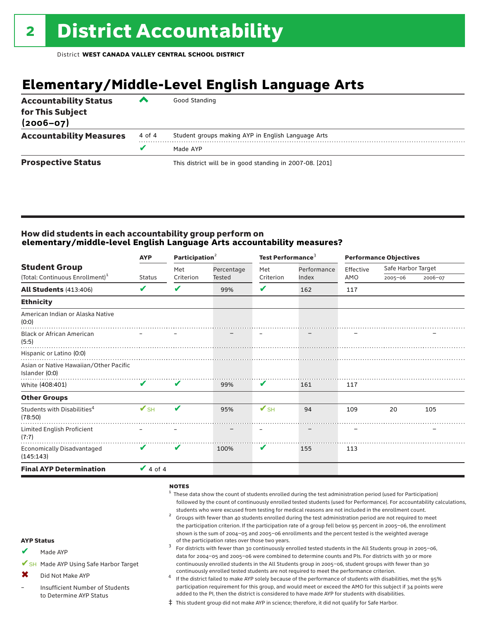# **Elementary/Middle-Level English Language Arts**

| <b>Accountability Status</b><br>for This Subject<br>$(2006 - 07)$ | ▰      | Good Standing                                            |
|-------------------------------------------------------------------|--------|----------------------------------------------------------|
| <b>Accountability Measures</b>                                    | 4 of 4 | Student groups making AYP in English Language Arts       |
|                                                                   |        | Made AYP                                                 |
| <b>Prospective Status</b>                                         |        | This district will be in good standing in 2007-08. [201] |

### How did students in each accountability group perform on **elementary/middle-level English Language Arts accountability measures?**

|                          |               |           |                          | Test Performance <sup>3</sup> |       | <b>Performance Objectives</b> |             |                    |  |
|--------------------------|---------------|-----------|--------------------------|-------------------------------|-------|-------------------------------|-------------|--------------------|--|
|                          |               |           | Met                      | Percentage                    | Met   | Performance                   | Effective   | Safe Harbor Target |  |
|                          |               |           |                          |                               |       |                               | 2006-07     |                    |  |
| V                        | V             | 99%       | ✔                        | 162                           | 117   |                               |             |                    |  |
|                          |               |           |                          |                               |       |                               |             |                    |  |
|                          |               |           |                          |                               |       |                               |             |                    |  |
|                          |               |           |                          |                               |       |                               |             |                    |  |
|                          |               |           |                          |                               |       |                               |             |                    |  |
|                          |               |           |                          |                               |       |                               |             |                    |  |
| V                        | V             | 99%       | V                        | 161                           | 117   |                               |             |                    |  |
|                          |               |           |                          |                               |       |                               |             |                    |  |
| $\mathbf{V}_{\text{SH}}$ | ✔             | 95%       | $\mathbf{V}_{\text{SH}}$ | 94                            | 109   | 20                            | 105         |                    |  |
|                          |               |           |                          |                               |       |                               |             |                    |  |
| V                        | V             | 100%      | V                        | 155                           | 113   |                               |             |                    |  |
| $\vee$ 4 of 4            |               |           |                          |                               |       |                               |             |                    |  |
|                          | <b>Status</b> | Criterion | Tested                   | Criterion                     | Index | AMO                           | $2005 - 06$ |                    |  |

### notes

- $1$  These data show the count of students enrolled during the test administration period (used for Participation) followed by the count of continuously enrolled tested students (used for Performance). For accountability calculations, students who were excused from testing for medical reasons are not included in the enrollment count.<br><sup>2</sup> Groups with fewer than 40 students enrolled during the test administration period are not required to meet
- the participation criterion. If the participation rate of a group fell below 95 percent in 2005–06, the enrollment shown is the sum of 2004–05 and 2005–06 enrollments and the percent tested is the weighted average<br>of the participation rates over those two years.
- of the participation rates over those two years. <sup>3</sup> For districts with fewer than 30 continuously enrolled tested students in the All Students group in 2005–06, data for 2004–05 and 2005–06 were combined to determine counts and PIs. For districts with 30 or more continuously enrolled students in the All Students group in 2005–06, student groups with fewer than 30
- continuously enrolled tested students are not required to meet the performance criterion.<br>If the district failed to make AYP solely because of the performance of students with disabilities, met the 95% participation requirement for this group, and would meet or exceed the AMO for this subject if 34 points were added to the PI, then the district is considered to have made AYP for students with disabilities.
- ‡ This student group did not make AYP in science; therefore, it did not qualify for Safe Harbor.

### AYP Status

- Made AYP ✔
- ✔SH Made AYP Using Safe Harbor Target
- Did Not Make AYP ✖
- Insufficient Number of Students to Determine AYP Status –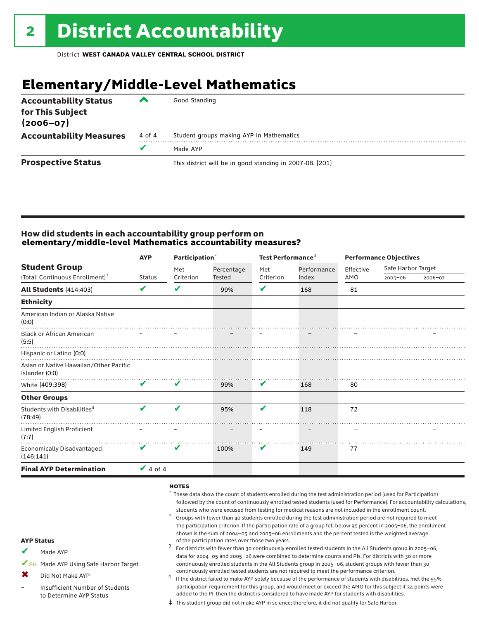# **Elementary/Middle-Level Mathematics**

| <b>Accountability Status</b><br>for This Subject<br>$(2006 - 07)$ | ▰      | Good Standing                                            |
|-------------------------------------------------------------------|--------|----------------------------------------------------------|
| <b>Accountability Measures</b>                                    | 4 of 4 | Student groups making AYP in Mathematics                 |
|                                                                   | v      | Made AYP                                                 |
| <b>Prospective Status</b>                                         |        | This district will be in good standing in 2007-08. [201] |

### How did students in each accountability group perform on **elementary/middle-level Mathematics accountability measures?**

|                                                          | <b>AYP</b>    | Participation $2$ |            | Test Performance <sup>3</sup> |             | <b>Performance Objectives</b> |                    |         |
|----------------------------------------------------------|---------------|-------------------|------------|-------------------------------|-------------|-------------------------------|--------------------|---------|
| <b>Student Group</b>                                     |               | Met               | Percentage | Met                           | Performance | Effective                     | Safe Harbor Target |         |
| (Total: Continuous Enrollment) <sup>1</sup>              | <b>Status</b> | Criterion         | Tested     | Criterion                     | Index       | AMO                           | $2005 - 06$        | 2006-07 |
| <b>All Students (414:403)</b>                            | V             | V                 | 99%        | V                             | 168         | 81                            |                    |         |
| <b>Ethnicity</b>                                         |               |                   |            |                               |             |                               |                    |         |
| American Indian or Alaska Native<br>(0:0)                |               |                   |            |                               |             |                               |                    |         |
| <b>Black or African American</b><br>(5:5)                |               |                   |            |                               |             |                               |                    |         |
| Hispanic or Latino (0:0)                                 |               |                   |            |                               |             |                               |                    |         |
| Asian or Native Hawaiian/Other Pacific<br>Islander (0:0) |               |                   |            |                               |             |                               |                    |         |
| White (409:398)                                          | V             | V                 | 99%        | V                             | 168         | 80                            |                    |         |
| <b>Other Groups</b>                                      |               |                   |            |                               |             |                               |                    |         |
| Students with Disabilities <sup>4</sup><br>(78:49)       | V             | ✔                 | 95%        | V                             | 118         | 72                            |                    |         |
| Limited English Proficient<br>(7:7)                      |               |                   |            |                               |             |                               |                    |         |
| <b>Economically Disadvantaged</b><br>(146:141)           | V             | v                 | 100%       | V                             | 149         | 77                            |                    |         |
| <b>Final AYP Determination</b>                           | $\vee$ 4 of 4 |                   |            |                               |             |                               |                    |         |
|                                                          |               |                   |            |                               |             |                               |                    |         |

### notes

- $1$  These data show the count of students enrolled during the test administration period (used for Participation) followed by the count of continuously enrolled tested students (used for Performance). For accountability calculations, students who were excused from testing for medical reasons are not included in the enrollment count.<br><sup>2</sup> Groups with fewer than 40 students enrolled during the test administration period are not required to meet
- the participation criterion. If the participation rate of a group fell below 95 percent in 2005–06, the enrollment shown is the sum of 2004–05 and 2005–06 enrollments and the percent tested is the weighted average<br>of the participation rates over those two years.
- of the participation rates over those two years. <sup>3</sup> For districts with fewer than 30 continuously enrolled tested students in the All Students group in 2005–06, data for 2004–05 and 2005–06 were combined to determine counts and PIs. For districts with 30 or more continuously enrolled students in the All Students group in 2005–06, student groups with fewer than 30
- continuously enrolled tested students are not required to meet the performance criterion. <sup>4</sup> If the district failed to make AYP solely because of the performance of students with disabilities, met the 95% participation requirement for this group, and would meet or exceed the AMO for this subject if 34 points were added to the PI, then the district is considered to have made AYP for students with disabilities.
- ‡ This student group did not make AYP in science; therefore, it did not qualify for Safe Harbor.

### AYP Status

- Made AYP ✔
- ✔SH Made AYP Using Safe Harbor Target
- Did Not Make AYP  $\mathbf x$
- Insufficient Number of Students to Determine AYP Status –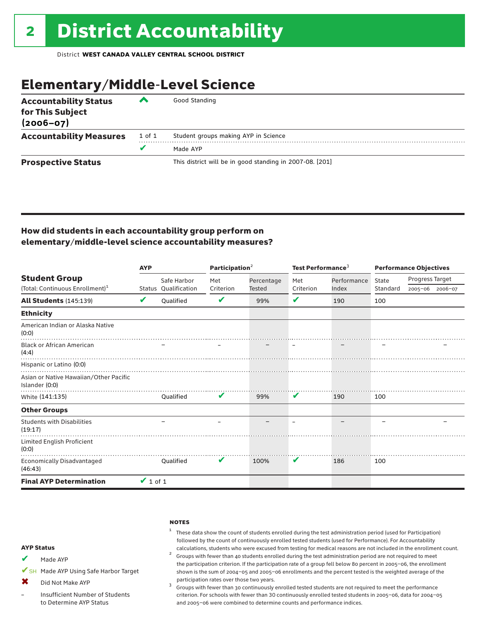# Elementary/Middle-Level Science

| <b>Accountability Status</b><br>for This Subject<br>$(2006 - 07)$ | ◚      | Good Standing                                            |
|-------------------------------------------------------------------|--------|----------------------------------------------------------|
| <b>Accountability Measures</b>                                    | 1 of 1 | Student groups making AYP in Science                     |
|                                                                   | v      | Made AYP                                                 |
| <b>Prospective Status</b>                                         |        | This district will be in good standing in 2007-08. [201] |

### How did students in each accountability group perform on elementary/middle-level science accountability measures?

|                                                          | <b>AYP</b>    |                      | Participation <sup>2</sup> |            | Test Performance <sup>3</sup> |             | <b>Performance Objectives</b> |                 |                 |
|----------------------------------------------------------|---------------|----------------------|----------------------------|------------|-------------------------------|-------------|-------------------------------|-----------------|-----------------|
| <b>Student Group</b>                                     |               | Safe Harbor          | Met                        | Percentage | Met                           | Performance | State                         | Progress Target |                 |
| (Total: Continuous Enrollment) <sup>1</sup>              |               | Status Qualification | Criterion                  | Tested     | Criterion                     | Index       | Standard                      |                 | 2005-06 2006-07 |
| <b>All Students (145:139)</b>                            | V             | <b>Oualified</b>     | V                          | 99%        | V                             | 190         | 100                           |                 |                 |
| <b>Ethnicity</b>                                         |               |                      |                            |            |                               |             |                               |                 |                 |
| American Indian or Alaska Native<br>(0:0)                |               |                      |                            |            |                               |             |                               |                 |                 |
| <b>Black or African American</b><br>(4:4)                |               |                      |                            |            |                               |             |                               |                 |                 |
| Hispanic or Latino (0:0)                                 |               |                      |                            |            |                               |             |                               |                 |                 |
| Asian or Native Hawaiian/Other Pacific<br>Islander (0:0) |               |                      |                            |            |                               |             |                               |                 |                 |
| White (141:135)                                          |               | <b>Oualified</b>     | V                          | 99%        | V                             | 190         | 100                           |                 |                 |
| <b>Other Groups</b>                                      |               |                      |                            |            |                               |             |                               |                 |                 |
| <b>Students with Disabilities</b><br>(19:17)             |               |                      |                            |            |                               |             |                               |                 |                 |
| Limited English Proficient<br>(0:0)                      |               |                      |                            |            |                               |             |                               |                 |                 |
| <b>Economically Disadvantaged</b><br>(46:43)             |               | Oualified            | V                          | 100%       | V                             | 186         | 100                           |                 |                 |
| <b>Final AYP Determination</b>                           | $\vee$ 1 of 1 |                      |                            |            |                               |             |                               |                 |                 |

### **NOTES**

 $1$  These data show the count of students enrolled during the test administration period (used for Participation) followed by the count of continuously enrolled tested students (used for Performance). For Accountability

calculations, students who were excused from testing for medical reasons are not included in the enrollment count.<br><sup>2</sup> Groups with fewer than 40 students enrolled during the test administration period are not required to the participation criterion. If the participation rate of a group fell below 80 percent in 2005–06, the enrollment shown is the sum of 2004–05 and 2005–06 enrollments and the percent tested is the weighted average of the

participation rates over those two years.<br> $3$  Groups with fewer than 30 continuously enrolled tested students are not required to meet the performance criterion. For schools with fewer than 30 continuously enrolled tested students in 2005–06, data for 2004–05 and 2005–06 were combined to determine counts and performance indices.

### AYP Status

- Made AYP ✔
- ✔SH Made AYP Using Safe Harbor Target
- Did Not Make AYP  $\bm{x}$
- Insufficient Number of Students to Determine AYP Status –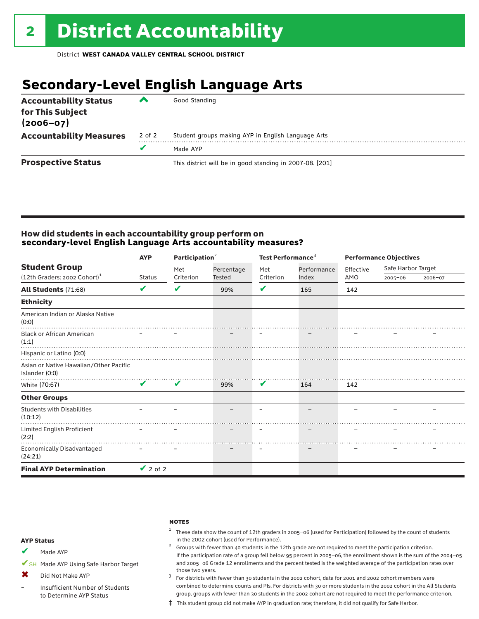# **Secondary-Level English Language Arts**

| <b>Accountability Status</b><br>for This Subject<br>$(2006 - 07)$ | ▰      | Good Standing                                            |
|-------------------------------------------------------------------|--------|----------------------------------------------------------|
| <b>Accountability Measures</b>                                    | 2 of 2 | Student groups making AYP in English Language Arts       |
|                                                                   |        | Made AYP                                                 |
| <b>Prospective Status</b>                                         |        | This district will be in good standing in 2007-08. [201] |

### How did students in each accountability group perform on **secondary-level English Language Arts accountability measures?**

|                                                          | Participation <sup>2</sup><br><b>AYP</b> |           |            | Test Performance <sup>3</sup> |             | <b>Performance Objectives</b> |                    |         |
|----------------------------------------------------------|------------------------------------------|-----------|------------|-------------------------------|-------------|-------------------------------|--------------------|---------|
| <b>Student Group</b>                                     |                                          | Met       | Percentage | Met                           | Performance | Effective                     | Safe Harbor Target |         |
| (12th Graders: 2002 Cohort) <sup>1</sup>                 | <b>Status</b>                            | Criterion | Tested     | Criterion                     | Index       | AMO                           | $2005 - 06$        | 2006-07 |
| <b>All Students (71:68)</b>                              | V                                        | V         | 99%        | V                             | 165         | 142                           |                    |         |
| <b>Ethnicity</b>                                         |                                          |           |            |                               |             |                               |                    |         |
| American Indian or Alaska Native<br>(0:0)                |                                          |           |            |                               |             |                               |                    |         |
| <b>Black or African American</b><br>(1:1)                |                                          |           |            |                               |             |                               |                    |         |
| Hispanic or Latino (0:0)                                 |                                          |           |            |                               |             |                               |                    |         |
| Asian or Native Hawaiian/Other Pacific<br>Islander (0:0) |                                          |           |            |                               |             |                               |                    |         |
| White (70:67)                                            | $\mathbf{v}$                             | V         | 99%        | V                             | 164         | 142                           |                    |         |
| <b>Other Groups</b>                                      |                                          |           |            |                               |             |                               |                    |         |
| <b>Students with Disabilities</b><br>(10:12)             |                                          |           |            |                               |             |                               |                    |         |
| Limited English Proficient<br>(2:2)                      |                                          |           |            |                               |             |                               |                    |         |
| Economically Disadvantaged<br>(24:21)                    |                                          |           |            |                               |             |                               |                    |         |
| <b>Final AYP Determination</b>                           | $\vee$ 2 of 2                            |           |            |                               |             |                               |                    |         |

### **NOTES**

 $1$  These data show the count of 12th graders in 2005-06 (used for Participation) followed by the count of students in the 2002 cohort (used for Performance). <sup>2</sup> Groups with fewer than 40 students in the 12th grade are not required to meet the participation criterion.

AYP Status

Made AYP ✔

✔SH Made AYP Using Safe Harbor Target

Did Not Make AYP  $\mathbf x$ 

Insufficient Number of Students to Determine AYP Status –

and 2005–06 Grade 12 enrollments and the percent tested is the weighted average of the participation rates over those two years.  $3$  For districts with fewer than 30 students in the 2002 cohort, data for 2001 and 2002 cohort members were combined to determine counts and PIs. For districts with 30 or more students in the 2002 cohort in the All Students group, groups with fewer than 30 students in the 2002 cohort are not required to meet the performance criterion.

If the participation rate of a group fell below 95 percent in 2005–06, the enrollment shown is the sum of the 2004–05

‡ This student group did not make AYP in graduation rate; therefore, it did not qualify for Safe Harbor.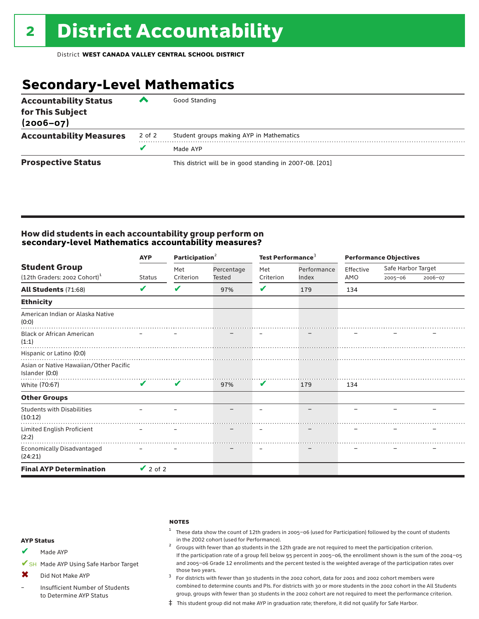# **Secondary-Level Mathematics**

| <b>Accountability Status</b><br>for This Subject<br>$(2006 - 07)$ | ▰      | Good Standing                                            |
|-------------------------------------------------------------------|--------|----------------------------------------------------------|
| <b>Accountability Measures</b>                                    | 2 of 2 | Student groups making AYP in Mathematics                 |
|                                                                   | v      | Made AYP                                                 |
| <b>Prospective Status</b>                                         |        | This district will be in good standing in 2007-08. [201] |

### How did students in each accountability group perform on **secondary-level Mathematics accountability measures?**

|                                                          | Participation <sup>2</sup><br><b>AYP</b> |           |            | Test Performance <sup>3</sup> |             |           | <b>Performance Objectives</b> |         |  |
|----------------------------------------------------------|------------------------------------------|-----------|------------|-------------------------------|-------------|-----------|-------------------------------|---------|--|
| <b>Student Group</b>                                     |                                          | Met       | Percentage | Met                           | Performance | Effective | Safe Harbor Target            |         |  |
| (12th Graders: 2002 Cohort) <sup>1</sup>                 | <b>Status</b>                            | Criterion | Tested     | Criterion                     | Index       | AMO       | $2005 - 06$                   | 2006-07 |  |
| <b>All Students (71:68)</b>                              | V                                        | V         | 97%        | V                             | 179         | 134       |                               |         |  |
| <b>Ethnicity</b>                                         |                                          |           |            |                               |             |           |                               |         |  |
| American Indian or Alaska Native<br>(0:0)                |                                          |           |            |                               |             |           |                               |         |  |
| <b>Black or African American</b><br>(1:1)                |                                          |           |            |                               |             |           |                               |         |  |
| Hispanic or Latino (0:0)                                 |                                          |           |            |                               |             |           |                               |         |  |
| Asian or Native Hawaiian/Other Pacific<br>Islander (0:0) |                                          |           |            |                               |             |           |                               |         |  |
| White (70:67)                                            | $\mathbf v$                              | V         | 97%        | V                             | 179         | 134       |                               |         |  |
| <b>Other Groups</b>                                      |                                          |           |            |                               |             |           |                               |         |  |
| <b>Students with Disabilities</b><br>(10:12)             |                                          |           |            |                               |             |           |                               |         |  |
| Limited English Proficient<br>(2:2)                      |                                          |           |            |                               |             |           |                               |         |  |
| <b>Economically Disadvantaged</b><br>(24:21)             |                                          |           |            |                               |             |           |                               |         |  |
| <b>Final AYP Determination</b>                           | $\vee$ 2 of 2                            |           |            |                               |             |           |                               |         |  |

### **NOTES**

 $1$  These data show the count of 12th graders in 2005-06 (used for Participation) followed by the count of students in the 2002 cohort (used for Performance).<br><sup>2</sup> Groups with fewer than 40 students in the 12th grade are not required to meet the participation criterion.

### AYP Status

Made AYP ✔

✔SH Made AYP Using Safe Harbor Target

Did Not Make AYP ✖

Insufficient Number of Students to Determine AYP Status –

those two years.  $3$  For districts with fewer than 30 students in the 2002 cohort, data for 2001 and 2002 cohort members were combined to determine counts and PIs. For districts with 30 or more students in the 2002 cohort in the All Students group, groups with fewer than 30 students in the 2002 cohort are not required to meet the performance criterion.

If the participation rate of a group fell below 95 percent in 2005–06, the enrollment shown is the sum of the 2004–05 and 2005–06 Grade 12 enrollments and the percent tested is the weighted average of the participation rates over

‡ This student group did not make AYP in graduation rate; therefore, it did not qualify for Safe Harbor.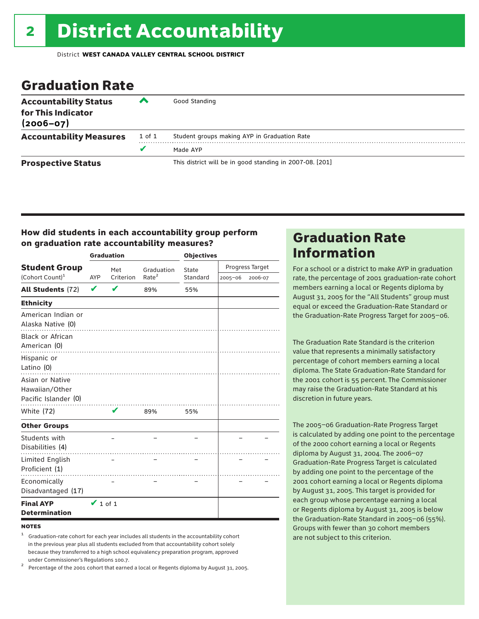# Graduation Rate

| <b>Accountability Status</b><br>for This Indicator<br>$(2006 - 07)$ | ‴      | Good Standing                                            |
|---------------------------------------------------------------------|--------|----------------------------------------------------------|
| <b>Accountability Measures</b>                                      | 1 of 1 | Student groups making AYP in Graduation Rate             |
|                                                                     | v      | Made AYP                                                 |
| <b>Prospective Status</b>                                           |        | This district will be in good standing in 2007-08. [201] |

### How did students in each accountability group perform on graduation rate accountability measures?

|                                                                    |                                | <b>Graduation</b> |                   | <b>Objectives</b> |             |                 |  |
|--------------------------------------------------------------------|--------------------------------|-------------------|-------------------|-------------------|-------------|-----------------|--|
| <b>Student Group</b>                                               | Met<br>Criterion<br><b>AYP</b> |                   | Graduation        | State             |             | Progress Target |  |
| (Cohort Count) <sup>1</sup>                                        |                                |                   | Rate <sup>2</sup> | Standard          | $2005 - 06$ | 2006-07         |  |
| <b>All Students (72)</b>                                           | V                              |                   | 89%               | 55%               |             |                 |  |
| <b>Ethnicity</b>                                                   |                                |                   |                   |                   |             |                 |  |
| American Indian or<br>Alaska Native (0)<br><b>Black or African</b> |                                |                   |                   |                   |             |                 |  |
| American (0)                                                       |                                |                   |                   |                   |             |                 |  |
| Hispanic or<br>Latino (0)                                          |                                |                   |                   |                   |             |                 |  |
| Asian or Native<br>Hawaiian/Other<br>Pacific Islander (0)          |                                |                   |                   |                   |             |                 |  |
| <b>White (72)</b>                                                  |                                | V                 | 89%               | 55%               |             |                 |  |
| <b>Other Groups</b>                                                |                                |                   |                   |                   |             |                 |  |
| Students with<br>Disabilities (4)                                  |                                |                   |                   |                   |             |                 |  |
| Limited English<br>Proficient (1)                                  |                                |                   |                   |                   |             |                 |  |
| Economically<br>Disadvantaged (17)                                 |                                |                   |                   |                   |             |                 |  |
| <b>Final AYP</b><br><b>Determination</b>                           | $\vee$ 1 of 1                  |                   |                   |                   |             |                 |  |

### **NOTES**

<sup>1</sup> Graduation-rate cohort for each year includes all students in the accountability cohort in the previous year plus all students excluded from that accountability cohort solely because they transferred to a high school equivalency preparation program, approved

under Commissioner's Regulations 100.7. <sup>2</sup> Percentage of the 2001 cohort that earned a local or Regents diploma by August 31, 2005.

# Graduation Rate Information

For a school or a district to make AYP in graduation rate, the percentage of 2001 graduation-rate cohort members earning a local or Regents diploma by August 31, 2005 for the "All Students" group must equal or exceed the Graduation-Rate Standard or the Graduation-Rate Progress Target for 2005–06.

The Graduation Rate Standard is the criterion value that represents a minimally satisfactory percentage of cohort members earning a local diploma. The State Graduation-Rate Standard for the 2001 cohort is 55 percent. The Commissioner may raise the Graduation-Rate Standard at his discretion in future years.

The 2005–06 Graduation-Rate Progress Target is calculated by adding one point to the percentage of the 2000 cohort earning a local or Regents diploma by August 31, 2004. The 2006–07 Graduation-Rate Progress Target is calculated by adding one point to the percentage of the 2001 cohort earning a local or Regents diploma by August 31, 2005. This target is provided for each group whose percentage earning a local or Regents diploma by August 31, 2005 is below the Graduation-Rate Standard in 2005–06 (55%). Groups with fewer than 30 cohort members are not subject to this criterion.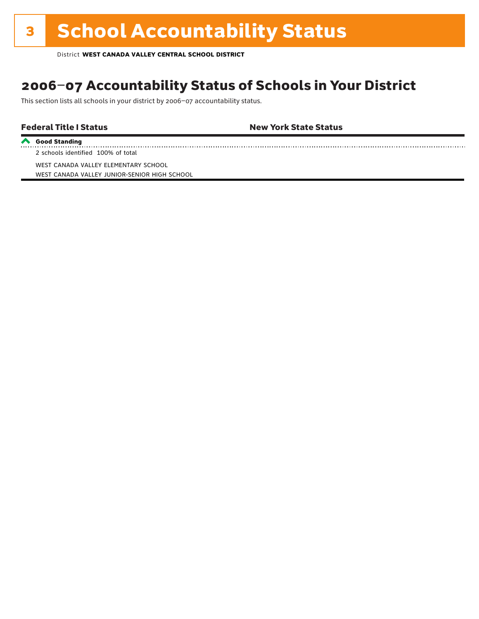# **3 School Accountability Status**

District **WEST CANADA VALLEY CENTRAL SCHOOL DISTRICT**

## 2006–07 Accountability Status of Schools in Your District

This section lists all schools in your district by 2006–07 accountability status.

### Federal Title I Status **New York State Status**

**Good Standing**

WEST CANADA VALLEY ELEMENTARY SCHOOL

2 schools identified 100% of total

WEST CANADA VALLEY JUNIOR-SENIOR HIGH SCHOOL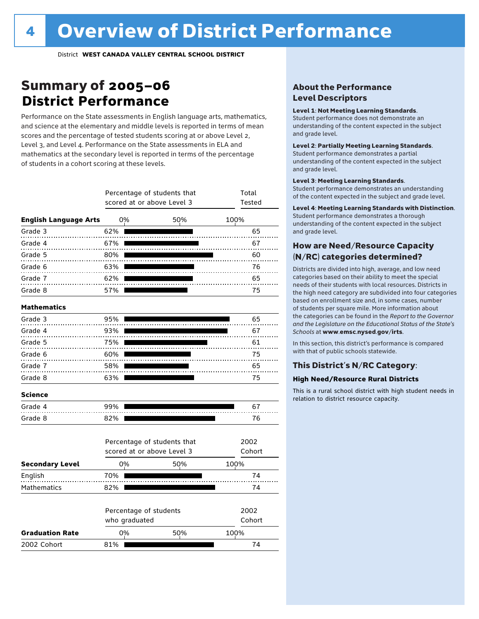# Summary of 2005–06 **District Performance**

Performance on the State assessments in English language arts, mathematics, and science at the elementary and middle levels is reported in terms of mean scores and the percentage of tested students scoring at or above Level 2, Level 3, and Level 4. Performance on the State assessments in ELA and mathematics at the secondary level is reported in terms of the percentage of students in a cohort scoring at these levels.

|                              |               | Percentage of students that<br>scored at or above Level 3 |     | Total<br><b>Tested</b> |                |
|------------------------------|---------------|-----------------------------------------------------------|-----|------------------------|----------------|
| <b>English Language Arts</b> | 0%            |                                                           | 50% | 100%                   |                |
| Grade 3                      | 62%           |                                                           |     |                        | 65             |
| Grade 4                      | 67%           |                                                           |     |                        | 67             |
| Grade 5                      | 80%           |                                                           |     |                        | 60             |
| Grade 6                      | 63%           |                                                           |     |                        | 76             |
| Grade 7                      | 62%           |                                                           |     |                        | 65             |
| Grade 8                      | 57%           |                                                           |     |                        | 75             |
| <b>Mathematics</b>           |               |                                                           |     |                        |                |
| Grade 3                      | 95%           |                                                           |     |                        | 65             |
| Grade 4                      | 93%           |                                                           |     |                        | 67             |
| Grade 5                      | 75%           |                                                           |     |                        | 61             |
| Grade 6                      | 60%           |                                                           |     |                        | 75             |
| Grade 7                      | 58%           |                                                           |     |                        | 65             |
| Grade 8                      | 63%           |                                                           |     |                        | 75             |
| <b>Science</b>               |               |                                                           |     |                        |                |
| Grade 4                      | 99%           |                                                           |     |                        | 67             |
| Grade 8                      | 82%           |                                                           |     |                        | 76             |
|                              |               | Percentage of students that<br>scored at or above Level 3 |     |                        | 2002<br>Cohort |
|                              |               |                                                           |     |                        |                |
| <b>Secondary Level</b>       | 0%            |                                                           | 50% | 100%                   |                |
| English                      | 70%           |                                                           |     |                        | 74             |
| <b>Mathematics</b>           | 82%           |                                                           |     |                        | 74             |
|                              | who graduated | Percentage of students                                    |     |                        | 2002<br>Cohort |
| <b>Graduation Rate</b>       | 0%            |                                                           | 50% | 100%                   |                |
| 2002 Cohort                  | 81%           |                                                           |     |                        | 74             |

### About the Performance Level Descriptors

### Level 1: Not Meeting Learning Standards.

Student performance does not demonstrate an understanding of the content expected in the subject and grade level.

### Level 2: Partially Meeting Learning Standards.

Student performance demonstrates a partial understanding of the content expected in the subject and grade level.

### Level 3: Meeting Learning Standards.

Student performance demonstrates an understanding of the content expected in the subject and grade level.

### Level 4: Meeting Learning Standards with Distinction.

Student performance demonstrates a thorough understanding of the content expected in the subject and grade level.

### How are Need/Resource Capacity (N/RC) categories determined?

Districts are divided into high, average, and low need categories based on their ability to meet the special needs of their students with local resources. Districts in the high need category are subdivided into four categories based on enrollment size and, in some cases, number of students per square mile. More information about the categories can be found in the *Report to the Governor and the Legislature on the Educational Status of the State's Schools* at www.emsc.nysed.gov/irts.

In this section, this district's performance is compared with that of public schools statewide.

### This District's N/RC Category:

### **High Need/Resource Rural Districts**

This is a rural school district with high student needs in relation to district resource capacity.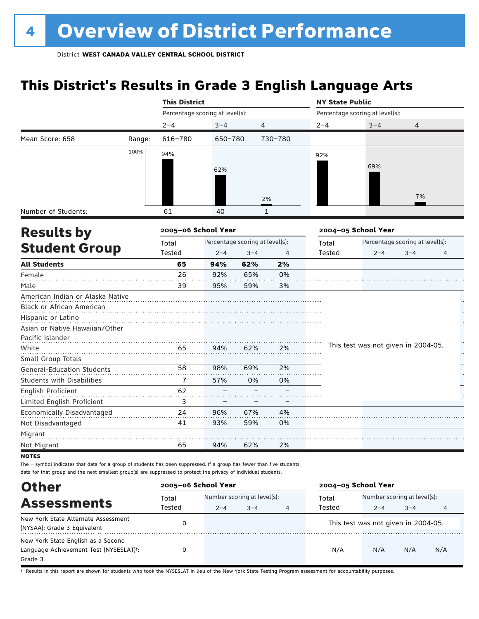# **This District's Results in Grade 3 English Language Arts**

|                                   |        | <b>This District</b>            |                                 |                |              | <b>NY State Public</b> |                                     |                                 |    |
|-----------------------------------|--------|---------------------------------|---------------------------------|----------------|--------------|------------------------|-------------------------------------|---------------------------------|----|
|                                   |        | Percentage scoring at level(s): |                                 |                |              |                        | Percentage scoring at level(s):     |                                 |    |
|                                   |        | $2 - 4$                         | $3 - 4$                         | $\overline{4}$ |              | $2 - 4$                | $3 - 4$                             | 4                               |    |
| Mean Score: 658                   | Range: | 616-780                         | 650-780                         |                | 730-780      |                        |                                     |                                 |    |
|                                   | 100%   | 94%                             |                                 |                |              | 92%                    |                                     |                                 |    |
|                                   |        |                                 |                                 |                |              |                        | 69%                                 |                                 |    |
|                                   |        |                                 | 62%                             |                |              |                        |                                     |                                 |    |
|                                   |        |                                 |                                 |                |              |                        |                                     |                                 |    |
|                                   |        |                                 |                                 |                | 2%           |                        |                                     | 7%                              |    |
| Number of Students:               |        | 61                              | 40                              |                | $\mathbf{1}$ |                        |                                     |                                 |    |
|                                   |        | 2005-06 School Year             |                                 |                |              |                        | 2004-05 School Year                 |                                 |    |
| <b>Results by</b>                 |        | Total                           | Percentage scoring at level(s): |                |              | Total                  |                                     | Percentage scoring at level(s): |    |
| <b>Student Group</b>              |        | Tested                          | $2 - 4$                         | $3 - 4$        | 4            | Tested                 | $2 - 4$                             | $3 - 4$                         | 4  |
| <b>All Students</b>               |        | 65                              | 94%                             | 62%            | 2%           |                        |                                     |                                 |    |
| Female                            |        | 26                              | 92%                             | 65%            | 0%           |                        |                                     |                                 |    |
| Male                              |        | 39                              | 95%                             | 59%            | 3%           |                        |                                     |                                 |    |
| American Indian or Alaska Native  |        |                                 |                                 |                |              |                        |                                     |                                 |    |
| Black or African American         |        |                                 |                                 |                |              |                        |                                     |                                 |    |
| Hispanic or Latino                |        |                                 |                                 |                |              |                        |                                     |                                 |    |
| Asian or Native Hawaiian/Other    |        |                                 |                                 |                |              |                        |                                     |                                 |    |
| Pacific Islander                  |        |                                 |                                 |                |              |                        |                                     |                                 | H  |
| White                             |        | 65                              | 94%                             | 62%            | 2%           |                        | This test was not given in 2004-05. |                                 | μ, |
| Small Group Totals                |        |                                 |                                 |                |              |                        |                                     |                                 |    |
| <b>General-Education Students</b> |        | 58                              | 98%                             | 69%            | 2%           |                        |                                     |                                 |    |
| <b>Students with Disabilities</b> |        | 7                               | 57%                             | 0%             | 0%           |                        |                                     |                                 |    |
| English Proficient                |        | 62                              |                                 |                |              |                        |                                     |                                 |    |
| Limited English Proficient        |        | 3                               |                                 |                |              |                        |                                     |                                 |    |
| Economically Disadvantaged        |        | 24                              | 96%                             | 67%            | 4%           |                        |                                     |                                 |    |
| Not Disadvantaged                 |        | 41                              | 93%                             | 59%            | 0%           |                        |                                     |                                 |    |
| Migrant                           |        |                                 |                                 |                |              |                        |                                     |                                 |    |
| Not Migrant                       |        | 65                              | 94%                             | 62%            | 2%           |                        |                                     |                                 |    |
| <b>NOTES</b>                      |        |                                 |                                 |                |              |                        |                                     |                                 |    |

 $NQ$ 

The – symbol indicates that data for a group of students has been suppressed. If a group has fewer than five students, data for that group and the next smallest group(s) are suppressed to protect the privacy of individual students.

| <b>Other</b>                                                                                         | 2005-06 School Year |                                                                  |  |  | 2004-05 School Year |                                                        |     |     |  |
|------------------------------------------------------------------------------------------------------|---------------------|------------------------------------------------------------------|--|--|---------------------|--------------------------------------------------------|-----|-----|--|
| <b>Assessments</b>                                                                                   | Total               | Number scoring at level(s):<br>Tested<br>$3 - 4$<br>$2 - 4$<br>4 |  |  | Total<br>Tested     | Number scoring at level(s):<br>$3 - 4$<br>$2 - 4$<br>4 |     |     |  |
| New York State Alternate Assessment<br>(NYSAA): Grade 3 Equivalent                                   |                     |                                                                  |  |  |                     | This test was not given in 2004-05.                    |     |     |  |
| New York State English as a Second<br>Language Achievement Test (NYSESLAT) <sup>+</sup> :<br>Grade 3 |                     |                                                                  |  |  | N/A                 | N/A                                                    | N/A | N/A |  |

† Results in this report are shown for students who took the NYSESLAT in lieu of the New York State Testing Program assessment for accountability purposes.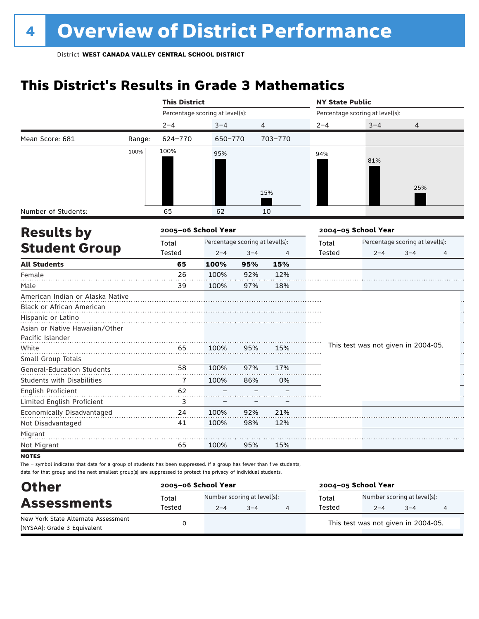# **This District's Results in Grade 3 Mathematics**

| Number of Students:<br><b>Results by</b><br><b>Student Group</b> |        | <b>This District</b> |                                 |         |         | <b>NY State Public</b> |                                     |                                 |    |  |
|------------------------------------------------------------------|--------|----------------------|---------------------------------|---------|---------|------------------------|-------------------------------------|---------------------------------|----|--|
|                                                                  |        |                      | Percentage scoring at level(s): |         |         |                        | Percentage scoring at level(s):     |                                 |    |  |
|                                                                  |        | $2 - 4$              | $3 - 4$                         |         | 4       | $2 - 4$                | $3 - 4$                             | 4                               |    |  |
| Mean Score: 681                                                  | Range: | 624-770              | 650-770                         |         | 703-770 |                        |                                     |                                 |    |  |
|                                                                  | 100%   | 100%                 | 95%                             |         |         | 94%                    |                                     |                                 |    |  |
|                                                                  |        |                      |                                 |         |         |                        | 81%                                 |                                 |    |  |
|                                                                  |        |                      |                                 |         |         |                        |                                     |                                 |    |  |
|                                                                  |        |                      |                                 |         |         |                        |                                     | 25%                             |    |  |
|                                                                  |        |                      |                                 |         | 15%     |                        |                                     |                                 |    |  |
|                                                                  |        |                      |                                 |         |         |                        |                                     |                                 |    |  |
|                                                                  |        | 65                   | 62                              |         | 10      |                        |                                     |                                 |    |  |
|                                                                  |        | 2005-06 School Year  |                                 |         |         |                        | 2004-05 School Year                 |                                 |    |  |
|                                                                  |        | Total                | Percentage scoring at level(s): |         |         | Total                  |                                     | Percentage scoring at level(s): |    |  |
|                                                                  |        | Tested               | $2 - 4$                         | $3 - 4$ | 4       | Tested                 | $2 - 4$                             | $3 - 4$                         | 4  |  |
| <b>All Students</b>                                              |        | 65                   | 100%                            | 95%     | 15%     |                        |                                     |                                 |    |  |
| Female                                                           |        | 26                   | 100%                            | 92%     | 12%     |                        |                                     |                                 |    |  |
| Male                                                             |        | 39                   | 100%                            | 97%     | 18%     |                        |                                     |                                 |    |  |
| American Indian or Alaska Native                                 |        |                      |                                 |         |         |                        |                                     |                                 |    |  |
| Black or African American                                        |        |                      |                                 |         |         |                        |                                     |                                 |    |  |
| Hispanic or Latino                                               |        |                      |                                 |         |         |                        |                                     |                                 |    |  |
| Asian or Native Hawaiian/Other                                   |        |                      |                                 |         |         |                        |                                     |                                 |    |  |
| Pacific Islander                                                 |        |                      |                                 |         |         |                        |                                     |                                 | Ĥ, |  |
| White                                                            |        | 65                   | 100%                            | 95%     | 15%     |                        | This test was not given in 2004-05. |                                 | Н  |  |
| Small Group Totals                                               |        |                      |                                 |         |         |                        |                                     |                                 |    |  |
| General-Education Students                                       |        | 58                   | 100%                            | 97%     | 17%     |                        |                                     |                                 |    |  |
| <b>Students with Disabilities</b>                                |        | 7                    | 100%                            | 86%     | 0%      |                        |                                     |                                 |    |  |
| English Proficient                                               |        | 62                   |                                 |         |         |                        |                                     |                                 |    |  |
| Limited English Proficient                                       |        | 3                    |                                 |         |         |                        |                                     |                                 |    |  |
| Economically Disadvantaged                                       |        | 24                   | 100%                            | 92%     | 21%     |                        |                                     |                                 |    |  |
| Not Disadvantaged                                                |        | 41                   | 100%                            | 98%     | 12%     |                        |                                     |                                 |    |  |
| Migrant                                                          |        |                      |                                 |         |         |                        |                                     |                                 |    |  |
| Not Migrant                                                      |        | 65                   | 100%                            | 95%     | 15%     |                        |                                     |                                 |    |  |

**NOTES** 

| <b>Other</b>                                                       | 2005-06 School Year |         | 2004-05 School Year                    |                                     |                                        |         |  |  |
|--------------------------------------------------------------------|---------------------|---------|----------------------------------------|-------------------------------------|----------------------------------------|---------|--|--|
| <b>Assessments</b>                                                 | Total<br>Tested     | $2 - 4$ | Number scoring at level(s):<br>$3 - 4$ | Total<br>Tested                     | Number scoring at level(s):<br>$2 - 4$ | $3 - 4$ |  |  |
| New York State Alternate Assessment<br>(NYSAA): Grade 3 Equivalent |                     |         |                                        | This test was not given in 2004-05. |                                        |         |  |  |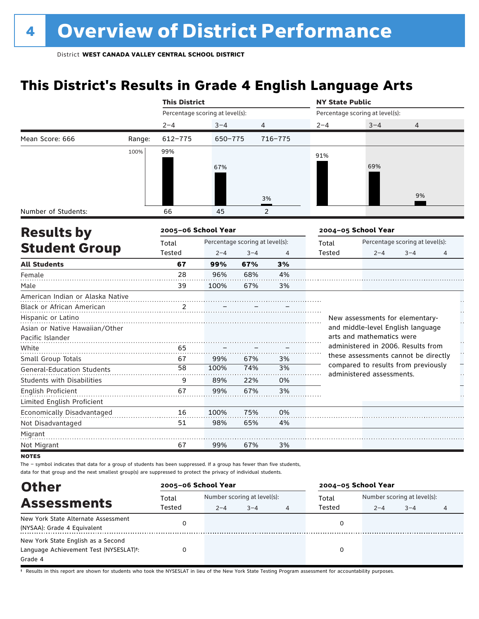# **This District's Results in Grade 4 English Language Arts**

|                                   |        | <b>This District</b>            |                                 |         |         | <b>NY State Public</b> |                                                                  |                                 |   |  |
|-----------------------------------|--------|---------------------------------|---------------------------------|---------|---------|------------------------|------------------------------------------------------------------|---------------------------------|---|--|
|                                   |        | Percentage scoring at level(s): |                                 |         |         |                        | Percentage scoring at level(s):                                  |                                 |   |  |
|                                   |        | $2 - 4$                         | $3 - 4$                         |         | 4       | $2 - 4$                | $3 - 4$                                                          | 4                               |   |  |
| Mean Score: 666                   | Range: | 612-775                         | 650-775                         |         | 716-775 |                        |                                                                  |                                 |   |  |
|                                   | 100%   | 99%                             |                                 |         |         | 91%                    |                                                                  |                                 |   |  |
|                                   |        |                                 |                                 |         |         |                        | 69%                                                              |                                 |   |  |
|                                   |        |                                 | 67%                             |         |         |                        |                                                                  |                                 |   |  |
|                                   |        |                                 |                                 |         |         |                        |                                                                  |                                 |   |  |
|                                   |        |                                 |                                 |         | 3%      |                        |                                                                  | 9%                              |   |  |
|                                   |        |                                 |                                 |         |         |                        |                                                                  |                                 |   |  |
| Number of Students:               |        | 66                              | 45                              |         | 2       |                        |                                                                  |                                 |   |  |
| <b>Results by</b>                 |        | 2005-06 School Year             |                                 |         |         |                        | 2004-05 School Year                                              |                                 |   |  |
|                                   |        | Total                           | Percentage scoring at level(s): |         |         | Total                  |                                                                  | Percentage scoring at level(s): |   |  |
| <b>Student Group</b>              |        | Tested                          | $2 - 4$                         | $3 - 4$ | 4       | Tested                 | $2 - 4$                                                          | $3 - 4$                         | 4 |  |
| <b>All Students</b>               |        | 67                              | 99%                             | 67%     | 3%      |                        |                                                                  |                                 |   |  |
| Female                            |        | 28                              | 96%                             | 68%     | 4%      |                        |                                                                  |                                 |   |  |
| Male                              |        | 39                              | 100%                            | 67%     | 3%      |                        |                                                                  |                                 |   |  |
| American Indian or Alaska Native  |        |                                 |                                 |         |         |                        |                                                                  |                                 |   |  |
| Black or African American         |        | 2                               |                                 |         |         |                        |                                                                  |                                 |   |  |
| Hispanic or Latino                |        |                                 |                                 |         |         |                        | New assessments for elementary-                                  |                                 |   |  |
| Asian or Native Hawaiian/Other    |        |                                 |                                 |         |         |                        | and middle-level English language                                |                                 |   |  |
| Pacific Islander                  |        |                                 |                                 |         |         |                        | arts and mathematics were                                        |                                 |   |  |
| White                             |        | 65                              |                                 |         |         |                        | administered in 2006. Results from                               |                                 |   |  |
| Small Group Totals                |        | 67                              | 99%                             | 67%     | 3%      |                        | these assessments cannot be directly                             |                                 |   |  |
| General-Education Students        |        | 58                              | 100%                            | 74%     | 3%      |                        | compared to results from previously<br>administered assessments. |                                 |   |  |
| <b>Students with Disabilities</b> |        | 9                               | 89%                             | 22%     | 0%      |                        |                                                                  |                                 |   |  |
| <b>English Proficient</b>         |        | 67                              | 99%                             | 67%     | 3%      |                        |                                                                  |                                 |   |  |
| Limited English Proficient        |        |                                 |                                 |         |         |                        |                                                                  |                                 |   |  |
| Economically Disadvantaged        |        | 16                              | 100%                            | 75%     | 0%      |                        |                                                                  |                                 |   |  |
| Not Disadvantaged                 |        | 51                              | 98%                             | 65%     | 4%      |                        |                                                                  |                                 |   |  |
| Migrant                           |        |                                 |                                 |         |         |                        |                                                                  |                                 |   |  |
| Not Migrant                       |        | 67                              | 99%                             | 67%     | 3%      |                        |                                                                  |                                 |   |  |
| <b>NOTES</b>                      |        |                                 |                                 |         |         |                        |                                                                  |                                 |   |  |

The – symbol indicates that data for a group of students has been suppressed. If a group has fewer than five students, data for that group and the next smallest group(s) are suppressed to protect the privacy of individual students.

| <b>Other</b>                           | 2005-06 School Year |                             |         |   | 2004-05 School Year |                             |         |   |  |
|----------------------------------------|---------------------|-----------------------------|---------|---|---------------------|-----------------------------|---------|---|--|
| <b>Assessments</b>                     | Total<br>Tested     | Number scoring at level(s): |         |   | Total               | Number scoring at level(s): |         |   |  |
|                                        |                     | $2 - 4$                     | $3 - 4$ | 4 | Tested              | $2 - 4$                     | $3 - 4$ | 4 |  |
| New York State Alternate Assessment    |                     |                             |         |   |                     |                             |         |   |  |
| (NYSAA): Grade 4 Equivalent            | 0                   |                             |         |   |                     |                             |         |   |  |
| New York State English as a Second     |                     |                             |         |   |                     |                             |         |   |  |
| Language Achievement Test (NYSESLAT)t: |                     |                             |         |   | O                   |                             |         |   |  |
| Grade 4                                |                     |                             |         |   |                     |                             |         |   |  |

† Results in this report are shown for students who took the NYSESLAT in lieu of the New York State Testing Program assessment for accountability purposes.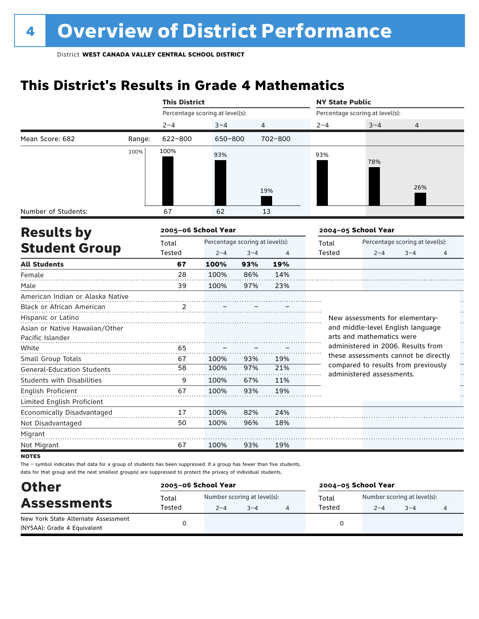# **This District's Results in Grade 4 Mathematics**

|                                   |        | <b>This District</b> |                                 |         |                | <b>NY State Public</b> |                                                                             |                                 |   |
|-----------------------------------|--------|----------------------|---------------------------------|---------|----------------|------------------------|-----------------------------------------------------------------------------|---------------------------------|---|
|                                   |        |                      | Percentage scoring at level(s): |         |                |                        | Percentage scoring at level(s):                                             |                                 |   |
|                                   |        | $2 - 4$              | $3 - 4$                         |         | 4              | $2 - 4$                | $3 - 4$                                                                     | 4                               |   |
| Mean Score: 682                   | Range: | 622-800              | 650-800                         |         | 702-800        |                        |                                                                             |                                 |   |
|                                   | 100%   | 100%                 | 93%                             |         |                | 93%                    |                                                                             |                                 |   |
|                                   |        |                      |                                 |         | 19%            |                        | 78%                                                                         | 26%                             |   |
| Number of Students:               |        | 67                   | 62                              |         | 13             |                        |                                                                             |                                 |   |
| <b>Results by</b>                 |        | 2005-06 School Year  |                                 |         |                |                        | 2004-05 School Year                                                         |                                 |   |
|                                   |        | Total                | Percentage scoring at level(s): |         |                | Total                  |                                                                             | Percentage scoring at level(s): |   |
| <b>Student Group</b>              |        | <b>Tested</b>        | $2 - 4$                         | $3 - 4$ | $\overline{4}$ | Tested                 | $2 - 4$                                                                     | $3 - 4$                         | 4 |
| <b>All Students</b>               |        | 67                   | 100%                            | 93%     | 19%            |                        |                                                                             |                                 |   |
| Female                            |        | 28                   | 100%                            | 86%     | 14%            |                        |                                                                             |                                 |   |
| Male                              |        | 39                   | 100%                            | 97%     | 23%            |                        |                                                                             |                                 |   |
| American Indian or Alaska Native  |        |                      |                                 |         |                |                        |                                                                             |                                 |   |
| Black or African American         |        | $\overline{2}$       |                                 |         |                |                        |                                                                             |                                 |   |
| Hispanic or Latino                |        |                      |                                 |         |                |                        | New assessments for elementary-                                             |                                 |   |
| Asian or Native Hawaiian/Other    |        |                      |                                 |         |                |                        | and middle-level English language                                           |                                 |   |
| Pacific Islander                  |        |                      |                                 |         |                |                        | arts and mathematics were                                                   |                                 |   |
| White                             |        | 65                   |                                 |         |                |                        | administered in 2006. Results from                                          |                                 |   |
| Small Group Totals                |        | 67                   | 100%                            | 93%     | 19%            |                        | these assessments cannot be directly<br>compared to results from previously |                                 |   |
| <b>General-Education Students</b> |        | 58                   | 100%                            | 97%     | 21%            |                        | administered assessments.                                                   |                                 |   |
| <b>Students with Disabilities</b> |        | 9                    | 100%                            | 67%     | 11%            |                        |                                                                             |                                 |   |
| <b>English Proficient</b>         |        | 67                   | 100%                            | 93%     | 19%            |                        |                                                                             |                                 |   |
| Limited English Proficient        |        |                      |                                 |         |                |                        |                                                                             |                                 |   |
| Economically Disadvantaged        |        | 17                   | 100%                            | 82%     | 24%            |                        |                                                                             |                                 |   |
| Not Disadvantaged                 |        | 50                   | 100%                            | 96%     | 18%            |                        |                                                                             |                                 |   |
| Migrant                           |        |                      |                                 |         |                |                        |                                                                             |                                 |   |
| Not Migrant                       |        | 67                   | 100%                            | 93%     | 19%            |                        |                                                                             |                                 |   |

**NOTES** 

| <b>Other</b>                                                       | 2005-06 School Year |                                        |         | 2004-05 School Year |                                        |         |  |  |
|--------------------------------------------------------------------|---------------------|----------------------------------------|---------|---------------------|----------------------------------------|---------|--|--|
| <b>Assessments</b>                                                 | Total<br>Tested     | Number scoring at level(s):<br>$2 - 4$ | $3 - 4$ | Total<br>Tested     | Number scoring at level(s):<br>$2 - 4$ | $3 - 4$ |  |  |
| New York State Alternate Assessment<br>(NYSAA): Grade 4 Equivalent |                     |                                        |         |                     |                                        |         |  |  |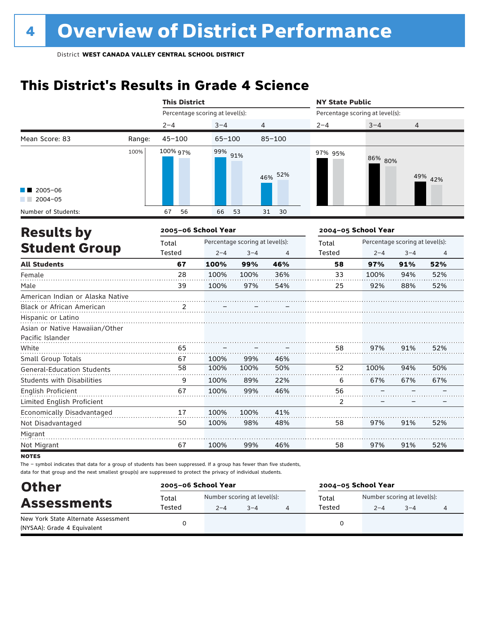# **This District's Results in Grade 4 Science**

|                                                    |        | <b>This District</b>            |            |                                 |                | <b>NY State Public</b>          |                     |                                 |                |
|----------------------------------------------------|--------|---------------------------------|------------|---------------------------------|----------------|---------------------------------|---------------------|---------------------------------|----------------|
|                                                    |        | Percentage scoring at level(s): |            |                                 |                | Percentage scoring at level(s): |                     |                                 |                |
|                                                    |        | $2 - 4$                         | $3 - 4$    | 4                               |                | $2 - 4$                         | $3 - 4$             | 4                               |                |
| Mean Score: 83                                     | Range: | $45 - 100$                      | $65 - 100$ |                                 | $85 - 100$     |                                 |                     |                                 |                |
| $\blacksquare$ 2005-06                             | 100%   | 100% 97%                        | 99% 91%    |                                 | 46% 52%        | 97% 95%                         | 86% 80%             |                                 | 49% 42%        |
| $2004 - 05$                                        |        |                                 |            |                                 |                |                                 |                     |                                 |                |
| Number of Students:<br><b>Results by</b>           |        | 56<br>67<br>2005-06 School Year | 66         | 53                              | 31<br>30       |                                 | 2004-05 School Year |                                 |                |
|                                                    |        | Total                           |            | Percentage scoring at level(s): |                | Total                           |                     | Percentage scoring at level(s): |                |
| <b>Student Group</b>                               |        | Tested                          | $2 - 4$    | $3 - 4$                         | $\overline{4}$ | <b>Tested</b>                   | $2 - 4$             | $3 - 4$                         | $\overline{4}$ |
| <b>All Students</b>                                |        | 67                              | 100%       | 99%                             | 46%            | 58                              | 97%                 | 91%                             | 52%            |
| Female                                             |        | 28                              | 100%       | 100%                            | 36%            | 33                              | 100%                | 94%                             | 52%            |
| Male                                               |        | 39                              | 100%       | 97%                             | 54%            | 25                              | 92%                 | 88%                             | 52%            |
| American Indian or Alaska Native                   |        |                                 |            |                                 |                |                                 |                     |                                 |                |
| Black or African American                          |        | 2                               |            |                                 |                |                                 |                     |                                 |                |
| Hispanic or Latino                                 |        |                                 |            |                                 |                |                                 |                     |                                 |                |
| Asian or Native Hawaiian/Other<br>Pacific Islander |        |                                 |            |                                 |                |                                 |                     |                                 |                |
| White                                              |        | 65                              |            |                                 |                | 58                              | 97%                 | 91%                             | 52%            |
| Small Group Totals                                 |        | 67                              | 100%       | 99%                             | 46%            |                                 |                     |                                 |                |
| <b>General-Education Students</b>                  |        | 58                              | 100%       | 100%                            | 50%            | 52                              | 100%                | 94%                             | 50%            |
| <b>Students with Disabilities</b>                  |        | 9                               | 100%       | 89%                             | 22%            | 6                               | 67%                 | 67%                             | 67%            |
| <b>English Proficient</b>                          |        | 67                              | 100%       | 99%                             | 46%            | 56                              |                     |                                 |                |
| Limited English Proficient                         |        |                                 |            |                                 |                | $\overline{2}$                  |                     |                                 |                |
| Economically Disadvantaged                         |        | 17                              | 100%       | 100%                            | 41%            |                                 |                     |                                 |                |
| Not Disadvantaged                                  |        | 50                              | 100%       | 98%                             | 48%            | 58                              | 97%                 | 91%                             | 52%            |
| Migrant                                            |        |                                 |            |                                 |                |                                 |                     |                                 |                |
| Not Migrant                                        |        | 67                              | 100%       | 99%                             | 46%            | 58                              | 97%                 | 91%                             | 52%            |

**NOTES** 

| <b>Other</b><br><b>Assessments</b>                                 | 2005-06 School Year |                                        | 2004-05 School Year |                                                                      |  |  |  |
|--------------------------------------------------------------------|---------------------|----------------------------------------|---------------------|----------------------------------------------------------------------|--|--|--|
|                                                                    | Total<br>Tested     | Number scoring at level(s):<br>$2 - 4$ | $3 - 4$             | Number scoring at level(s):<br>Total<br>Tested<br>$3 - 4$<br>$2 - 4$ |  |  |  |
| New York State Alternate Assessment<br>(NYSAA): Grade 4 Equivalent |                     |                                        |                     |                                                                      |  |  |  |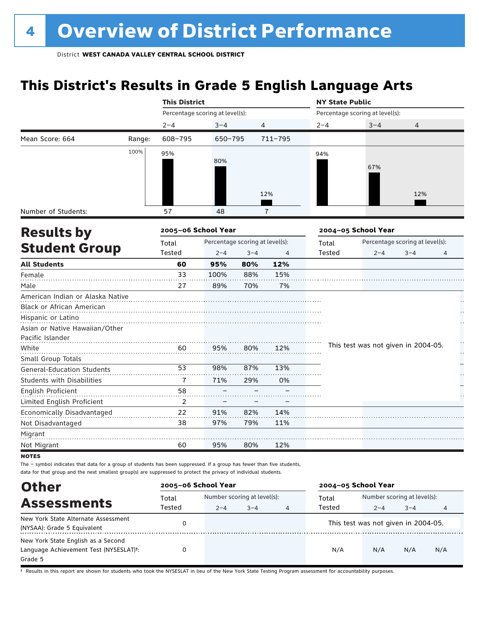# **This District's Results in Grade 5 English Language Arts**

|                                                    |        | <b>This District</b> |                                 |         |                | <b>NY State Public</b> |                                     |                                 |    |
|----------------------------------------------------|--------|----------------------|---------------------------------|---------|----------------|------------------------|-------------------------------------|---------------------------------|----|
|                                                    |        |                      | Percentage scoring at level(s): |         |                |                        | Percentage scoring at level(s):     |                                 |    |
|                                                    |        | $2 - 4$              | $3 - 4$                         |         | 4              | $2 - 4$                | $3 - 4$                             | $\overline{4}$                  |    |
| Mean Score: 664                                    | Range: | 608-795              | 650-795                         |         | 711-795        |                        |                                     |                                 |    |
|                                                    | 100%   | 95%                  | 80%                             |         |                | 94%                    | 67%                                 |                                 |    |
|                                                    |        |                      |                                 |         | 12%            |                        |                                     | 12%                             |    |
| Number of Students:                                |        | 57                   | 48                              |         | $\overline{1}$ |                        |                                     |                                 |    |
| <b>Results by</b>                                  |        | 2005-06 School Year  |                                 |         |                |                        | 2004-05 School Year                 |                                 |    |
|                                                    |        | Total                | Percentage scoring at level(s): |         |                | Total                  |                                     | Percentage scoring at level(s): |    |
| <b>Student Group</b>                               |        | Tested               | $2 - 4$                         | $3 - 4$ | $\overline{4}$ | <b>Tested</b>          | $2 - 4$                             | $3 - 4$                         | 4  |
| <b>All Students</b>                                |        | 60                   | 95%                             | 80%     | 12%            |                        |                                     |                                 |    |
| Female                                             |        | 33                   | 100%                            | 88%     | 15%            |                        |                                     |                                 |    |
| Male                                               |        | 27                   | 89%                             | 70%     | 7%             |                        |                                     |                                 |    |
| American Indian or Alaska Native                   |        |                      |                                 |         |                |                        |                                     |                                 |    |
| Black or African American                          |        |                      |                                 |         |                |                        |                                     |                                 |    |
| Hispanic or Latino                                 |        |                      |                                 |         |                |                        |                                     |                                 |    |
| Asian or Native Hawaiian/Other<br>Pacific Islander |        |                      |                                 |         |                |                        |                                     |                                 |    |
| White                                              |        | 60                   | 95%                             | 80%     | 12%            |                        | This test was not given in 2004-05. |                                 |    |
| Small Group Totals                                 |        |                      |                                 |         |                |                        |                                     |                                 | Н, |
| <b>General-Education Students</b>                  |        | 53                   | 98%                             | 87%     | 13%            |                        |                                     |                                 |    |
| Students with Disabilities                         |        | $\overline{7}$       | 71%                             | 29%     | 0%             |                        |                                     |                                 |    |
| English Proficient                                 |        | 58                   |                                 |         |                |                        |                                     |                                 |    |
| Limited English Proficient                         |        | $\overline{2}$       |                                 |         |                |                        |                                     |                                 |    |
| Economically Disadvantaged                         |        | 22                   | 91%                             | 82%     | 14%            |                        |                                     |                                 |    |
| Not Disadvantaged                                  |        | 38                   | 97%                             | 79%     | 11%            |                        |                                     |                                 |    |
| Migrant                                            |        |                      |                                 |         |                |                        |                                     |                                 |    |
| Not Migrant                                        |        | 60                   | 95%                             | 80%     | 12%            |                        |                                     |                                 |    |
| I                                                  |        |                      |                                 |         |                |                        |                                     |                                 |    |

**NOTES** 

The – symbol indicates that data for a group of students has been suppressed. If a group has fewer than five students, data for that group and the next smallest group(s) are suppressed to protect the privacy of individual students.

| <b>Other</b>                                                                            | 2005-06 School Year |                                                             |  |   | 2004-05 School Year |                                                |         |     |  |
|-----------------------------------------------------------------------------------------|---------------------|-------------------------------------------------------------|--|---|---------------------|------------------------------------------------|---------|-----|--|
| <b>Assessments</b>                                                                      | Total               | Number scoring at level(s):<br>Tested<br>$3 - 4$<br>$2 - 4$ |  |   | Total<br>Tested     | Number scoring at level(s):                    |         |     |  |
| New York State Alternate Assessment<br>(NYSAA): Grade 5 Equivalent                      |                     |                                                             |  | 4 |                     | $2 - 4$<br>This test was not given in 2004-05. | $3 - 4$ | 4   |  |
| New York State English as a Second<br>Language Achievement Test (NYSESLAT)t:<br>Grade 5 |                     |                                                             |  |   | N/A                 | N/A                                            | N/A     | N/A |  |

† Results in this report are shown for students who took the NYSESLAT in lieu of the New York State Testing Program assessment for accountability purposes.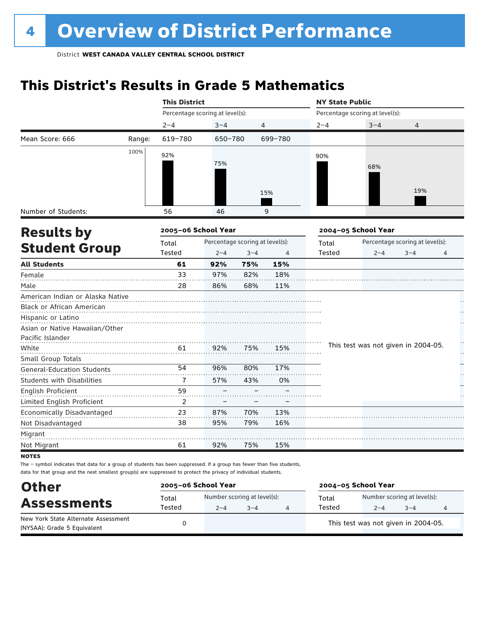# **This District's Results in Grade 5 Mathematics**

|                                   |        | <b>This District</b>            |                                 |         |         | <b>NY State Public</b> |                                     |                                 |   |
|-----------------------------------|--------|---------------------------------|---------------------------------|---------|---------|------------------------|-------------------------------------|---------------------------------|---|
|                                   |        | Percentage scoring at level(s): |                                 |         |         |                        | Percentage scoring at level(s):     |                                 |   |
|                                   |        | $2 - 4$                         | $3 - 4$                         |         | 4       | $2 - 4$                | $3 - 4$                             | 4                               |   |
| Mean Score: 666                   | Range: | 619-780                         | 650-780                         |         | 699-780 |                        |                                     |                                 |   |
|                                   | 100%   | 92%                             |                                 |         |         | 90%                    |                                     |                                 |   |
|                                   |        |                                 | 75%                             |         |         |                        | 68%                                 |                                 |   |
|                                   |        |                                 |                                 |         |         |                        |                                     |                                 |   |
|                                   |        |                                 |                                 |         |         |                        |                                     | 19%                             |   |
|                                   |        |                                 |                                 |         | 15%     |                        |                                     |                                 |   |
| Number of Students:               |        | 56                              | 46                              |         | 9       |                        |                                     |                                 |   |
| <b>Results by</b>                 |        | 2005-06 School Year             |                                 |         |         |                        | 2004-05 School Year                 |                                 |   |
|                                   |        | Total                           | Percentage scoring at level(s): |         |         | Total                  |                                     | Percentage scoring at level(s): |   |
| <b>Student Group</b>              |        | <b>Tested</b>                   | $2 - 4$                         | $3 - 4$ | 4       | <b>Tested</b>          | $2 - 4$                             | $3 - 4$                         | 4 |
| <b>All Students</b>               |        | 61                              | 92%                             | 75%     | 15%     |                        |                                     |                                 |   |
| Female                            |        | 33                              | 97%                             | 82%     | 18%     |                        |                                     |                                 |   |
| Male                              |        | 28                              | 86%                             | 68%     | 11%     |                        |                                     |                                 |   |
| American Indian or Alaska Native  |        |                                 |                                 |         |         |                        |                                     |                                 |   |
| <b>Black or African American</b>  |        |                                 |                                 |         |         |                        |                                     |                                 |   |
| Hispanic or Latino                |        |                                 |                                 |         |         |                        |                                     |                                 |   |
| Asian or Native Hawaiian/Other    |        |                                 |                                 |         |         |                        |                                     |                                 |   |
| Pacific Islander                  |        |                                 |                                 |         |         |                        | This test was not given in 2004-05. |                                 |   |
| White                             |        | 61                              | 92%                             | 75%     | 15%     |                        |                                     |                                 | Н |
| Small Group Totals                |        | 54                              | 96%                             | 80%     | 17%     |                        |                                     |                                 |   |
| <b>General-Education Students</b> |        |                                 |                                 |         |         |                        |                                     |                                 |   |
| Students with Disabilities        |        | 7                               | 57%                             | 43%     | 0%      |                        |                                     |                                 |   |
| <b>English Proficient</b>         |        | 59                              |                                 |         |         |                        |                                     |                                 |   |
| Limited English Proficient        |        | 2                               |                                 |         |         |                        |                                     |                                 |   |
| Economically Disadvantaged        |        | 23                              | 87%                             | 70%     | 13%     |                        |                                     |                                 |   |
| Not Disadvantaged                 |        | 38                              | 95%                             | 79%     | 16%     |                        |                                     |                                 |   |
| Migrant                           |        |                                 |                                 |         |         |                        |                                     |                                 |   |
| Not Migrant                       |        | 61                              | 92%                             | 75%     | 15%     |                        |                                     |                                 |   |

**NOTES** 

| <b>Other</b>                                                       | 2005-06 School Year |         |                                        | 2004-05 School Year |                                        |         |  |  |
|--------------------------------------------------------------------|---------------------|---------|----------------------------------------|---------------------|----------------------------------------|---------|--|--|
| <b>Assessments</b>                                                 | Total<br>Tested     | $2 - 4$ | Number scoring at level(s):<br>$3 - 4$ | Total<br>Tested     | Number scoring at level(s):<br>$2 - 4$ | $3 - 4$ |  |  |
| New York State Alternate Assessment<br>(NYSAA): Grade 5 Equivalent |                     |         |                                        |                     | This test was not given in 2004-05.    |         |  |  |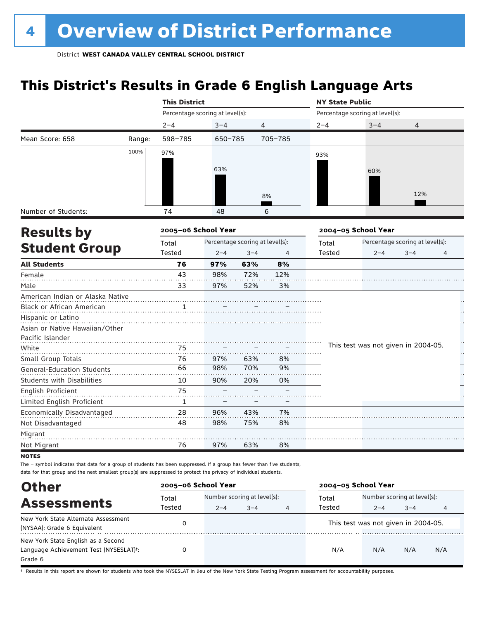# **This District's Results in Grade 6 English Language Arts**

|                                                                                                                                                                                                                                                  |        | <b>This District</b>            |         |                                 |         | <b>NY State Public</b> |                                     |                                 |   |
|--------------------------------------------------------------------------------------------------------------------------------------------------------------------------------------------------------------------------------------------------|--------|---------------------------------|---------|---------------------------------|---------|------------------------|-------------------------------------|---------------------------------|---|
|                                                                                                                                                                                                                                                  |        | Percentage scoring at level(s): |         |                                 |         |                        | Percentage scoring at level(s):     |                                 |   |
|                                                                                                                                                                                                                                                  |        | $2 - 4$                         | $3 - 4$ | 4                               |         | $2 - 4$                | $3 - 4$                             | 4                               |   |
| Mean Score: 658<br>Number of Students:<br><b>Results by</b><br><b>Student Group</b><br>American Indian or Alaska Native<br>Asian or Native Hawaiian/Other<br>Pacific Islander<br><b>General-Education Students</b><br>Economically Disadvantaged | Range: | 598-785                         | 650-785 |                                 | 705-785 |                        |                                     |                                 |   |
|                                                                                                                                                                                                                                                  | 100%   | 97%                             |         |                                 |         | 93%                    |                                     |                                 |   |
|                                                                                                                                                                                                                                                  |        |                                 |         |                                 |         |                        |                                     |                                 |   |
|                                                                                                                                                                                                                                                  |        |                                 | 63%     |                                 |         |                        | 60%                                 |                                 |   |
|                                                                                                                                                                                                                                                  |        |                                 |         |                                 |         |                        |                                     |                                 |   |
|                                                                                                                                                                                                                                                  |        |                                 |         |                                 | 8%      |                        |                                     | 12%                             |   |
|                                                                                                                                                                                                                                                  |        | 74                              | 48      |                                 | 6       |                        |                                     |                                 |   |
|                                                                                                                                                                                                                                                  |        |                                 |         |                                 |         |                        |                                     |                                 |   |
|                                                                                                                                                                                                                                                  |        | 2005-06 School Year             |         |                                 |         |                        | 2004-05 School Year                 |                                 |   |
|                                                                                                                                                                                                                                                  |        | Total                           |         | Percentage scoring at level(s): |         | Total                  |                                     | Percentage scoring at level(s): |   |
|                                                                                                                                                                                                                                                  |        | Tested                          | $2 - 4$ | $3 - 4$                         | 4       | Tested                 | $2 - 4$                             | $3 - 4$                         | 4 |
| <b>All Students</b>                                                                                                                                                                                                                              |        | 76                              | 97%     | 63%                             | 8%      |                        |                                     |                                 |   |
| Female                                                                                                                                                                                                                                           |        | 43                              | 98%     | 72%                             | 12%     |                        |                                     |                                 |   |
| Male                                                                                                                                                                                                                                             |        | 33                              | 97%     | 52%                             | 3%      |                        |                                     |                                 |   |
|                                                                                                                                                                                                                                                  |        |                                 |         |                                 |         |                        |                                     |                                 |   |
| Black or African American                                                                                                                                                                                                                        |        | 1                               |         |                                 |         |                        |                                     |                                 |   |
| Hispanic or Latino                                                                                                                                                                                                                               |        |                                 |         |                                 |         |                        |                                     |                                 |   |
|                                                                                                                                                                                                                                                  |        |                                 |         |                                 |         |                        |                                     |                                 |   |
|                                                                                                                                                                                                                                                  |        |                                 |         |                                 |         |                        |                                     |                                 | H |
| White                                                                                                                                                                                                                                            |        | 75                              |         |                                 |         |                        | This test was not given in 2004-05. |                                 | H |
| Small Group Totals                                                                                                                                                                                                                               |        | 76                              | 97%     | 63%                             | 8%      |                        |                                     |                                 |   |
|                                                                                                                                                                                                                                                  |        | 66                              | 98%     | 70%                             | 9%      |                        |                                     |                                 |   |
| <b>Students with Disabilities</b>                                                                                                                                                                                                                |        | 10                              | 90%     | 20%                             | 0%      |                        |                                     |                                 |   |
| <b>English Proficient</b>                                                                                                                                                                                                                        |        | 75                              |         |                                 |         |                        |                                     |                                 |   |
| Limited English Proficient                                                                                                                                                                                                                       |        | $\mathbf{1}$                    |         |                                 |         |                        |                                     |                                 |   |
|                                                                                                                                                                                                                                                  |        | 28                              | 96%     | 43%                             | 7%      |                        |                                     |                                 |   |
| Not Disadvantaged                                                                                                                                                                                                                                |        | 48                              | 98%     | 75%                             | 8%      |                        |                                     |                                 |   |
| Migrant                                                                                                                                                                                                                                          |        |                                 |         |                                 |         |                        |                                     |                                 |   |
| Not Migrant                                                                                                                                                                                                                                      |        | 76                              | 97%     | 63%                             | 8%      |                        |                                     |                                 |   |
| <b>NOTES</b>                                                                                                                                                                                                                                     |        |                                 |         |                                 |         |                        |                                     |                                 |   |

The – symbol indicates that data for a group of students has been suppressed. If a group has fewer than five students, data for that group and the next smallest group(s) are suppressed to protect the privacy of individual students.

| <b>Other</b>                                                                                         | 2005-06 School Year |                                                        |  |  | 2004-05 School Year |                                                        |     |     |
|------------------------------------------------------------------------------------------------------|---------------------|--------------------------------------------------------|--|--|---------------------|--------------------------------------------------------|-----|-----|
| <b>Assessments</b>                                                                                   | Total<br>Tested     | Number scoring at level(s):<br>$2 - 4$<br>$3 - 4$<br>4 |  |  | Total<br>Tested     | Number scoring at level(s):<br>$3 - 4$<br>$2 - 4$<br>4 |     |     |
| New York State Alternate Assessment<br>(NYSAA): Grade 6 Equivalent                                   |                     |                                                        |  |  |                     | This test was not given in 2004-05.                    |     |     |
| New York State English as a Second<br>Language Achievement Test (NYSESLAT) <sup>+</sup> :<br>Grade 6 |                     |                                                        |  |  | N/A                 | N/A                                                    | N/A | N/A |

† Results in this report are shown for students who took the NYSESLAT in lieu of the New York State Testing Program assessment for accountability purposes.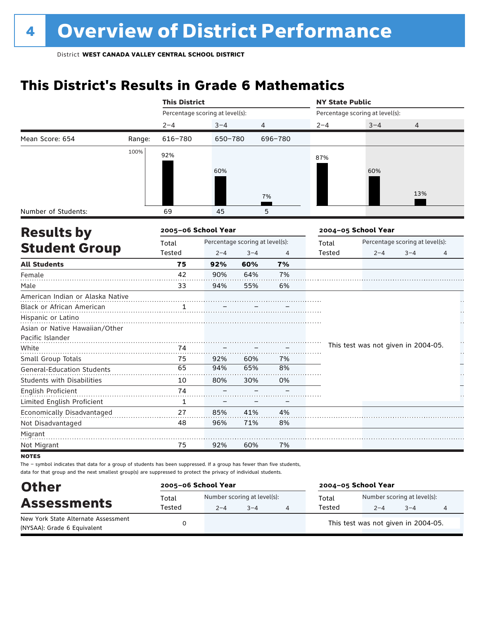# **This District's Results in Grade 6 Mathematics**

|                                   |        | <b>This District</b>            |                                 |         |         | <b>NY State Public</b> |                                     |                                 |   |  |
|-----------------------------------|--------|---------------------------------|---------------------------------|---------|---------|------------------------|-------------------------------------|---------------------------------|---|--|
|                                   |        | Percentage scoring at level(s): |                                 |         |         |                        | Percentage scoring at level(s):     |                                 |   |  |
|                                   |        | $2 - 4$                         | $3 - 4$                         | 4       |         | $2 - 4$                | $3 - 4$                             | 4                               |   |  |
| Mean Score: 654                   | Range: | 616-780                         | 650-780                         |         | 696-780 |                        |                                     |                                 |   |  |
|                                   | 100%   | 92%                             |                                 |         |         | 87%                    |                                     |                                 |   |  |
|                                   |        |                                 |                                 |         |         |                        |                                     |                                 |   |  |
|                                   |        |                                 | 60%                             |         |         |                        | 60%                                 |                                 |   |  |
|                                   |        |                                 |                                 |         |         |                        |                                     |                                 |   |  |
|                                   |        |                                 |                                 |         | 7%      |                        |                                     | 13%                             |   |  |
| Number of Students:               |        | 69                              | 45                              |         | 5       |                        |                                     |                                 |   |  |
| <b>Results by</b>                 |        | 2005-06 School Year             |                                 |         |         |                        | 2004-05 School Year                 |                                 |   |  |
|                                   |        | Total                           | Percentage scoring at level(s): |         |         | Total                  |                                     | Percentage scoring at level(s): |   |  |
| <b>Student Group</b>              |        | Tested                          | $2 - 4$                         | $3 - 4$ | 4       | <b>Tested</b>          | $2 - 4$                             | $3 - 4$                         | 4 |  |
| <b>All Students</b>               |        | 75                              | 92%                             | 60%     | 7%      |                        |                                     |                                 |   |  |
| Female                            |        | 42                              | 90%                             | 64%     | 7%      |                        |                                     |                                 |   |  |
| Male                              |        | 33                              | 94%                             | 55%     | 6%      |                        |                                     |                                 |   |  |
| American Indian or Alaska Native  |        |                                 |                                 |         |         |                        |                                     |                                 |   |  |
| Black or African American         |        | $\mathbf{1}$                    |                                 |         |         |                        |                                     |                                 |   |  |
| Hispanic or Latino                |        |                                 |                                 |         |         |                        |                                     |                                 |   |  |
| Asian or Native Hawaiian/Other    |        |                                 |                                 |         |         |                        |                                     |                                 |   |  |
| Pacific Islander                  |        |                                 |                                 |         |         |                        | This test was not given in 2004-05. |                                 |   |  |
| White                             |        | 74                              |                                 |         |         |                        |                                     |                                 | Н |  |
| Small Group Totals                |        | 75                              | 92%                             | 60%     | 7%      |                        |                                     |                                 |   |  |
| <b>General-Education Students</b> |        | 65                              | 94%                             | 65%     | 8%      |                        |                                     |                                 |   |  |
| <b>Students with Disabilities</b> |        | 10                              | 80%                             | 30%     | 0%      |                        |                                     |                                 |   |  |
| English Proficient                |        | 74                              |                                 |         |         |                        |                                     |                                 |   |  |
| Limited English Proficient        |        | 1                               |                                 |         |         |                        |                                     |                                 |   |  |
| Economically Disadvantaged        |        | 27                              | 85%                             | 41%     | 4%      |                        |                                     |                                 |   |  |
| Not Disadvantaged                 |        | 48                              | 96%                             | 71%     | 8%      |                        |                                     |                                 |   |  |
| Migrant                           |        |                                 |                                 |         |         |                        |                                     |                                 |   |  |
| Not Migrant                       |        | 75                              | 92%                             | 60%     | 7%      |                        |                                     |                                 |   |  |
| $- - - -$                         |        |                                 |                                 |         |         |                        |                                     |                                 |   |  |

**NOTES** 

| <b>Other</b>                                                       | 2005-06 School Year |                                        | 2004-05 School Year |                 |                                        |         |  |
|--------------------------------------------------------------------|---------------------|----------------------------------------|---------------------|-----------------|----------------------------------------|---------|--|
| <b>Assessments</b>                                                 | Total<br>Tested     | Number scoring at level(s):<br>$2 - 4$ | $3 - 4$             | Total<br>Tested | Number scoring at level(s):<br>$2 - 4$ | $3 - 4$ |  |
| New York State Alternate Assessment<br>(NYSAA): Grade 6 Equivalent |                     |                                        |                     |                 | This test was not given in 2004-05.    |         |  |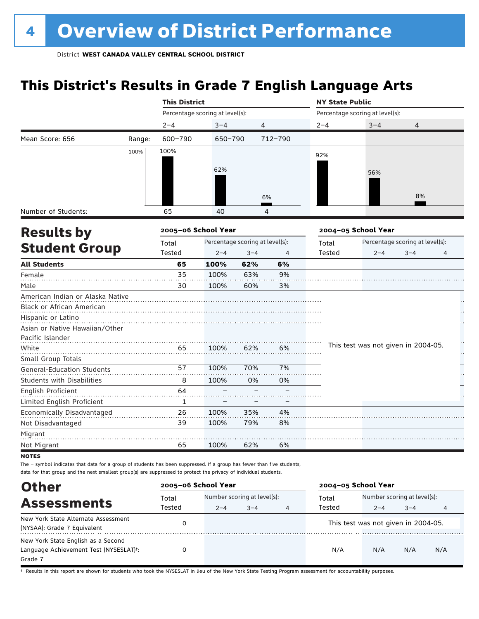# **This District's Results in Grade 7 English Language Arts**

|                                   |        | <b>This District</b> |                                 |                                 |         | <b>NY State Public</b> |                                     |                                 |   |
|-----------------------------------|--------|----------------------|---------------------------------|---------------------------------|---------|------------------------|-------------------------------------|---------------------------------|---|
|                                   |        |                      | Percentage scoring at level(s): |                                 |         |                        | Percentage scoring at level(s):     |                                 |   |
|                                   |        | $2 - 4$              | $3 - 4$                         | $\overline{4}$                  |         | $2 - 4$                | $3 - 4$                             | 4                               |   |
| Mean Score: 656                   | Range: | 600-790              | 650-790                         |                                 | 712-790 |                        |                                     |                                 |   |
|                                   | 100%   | 100%                 |                                 |                                 |         | 92%                    |                                     |                                 |   |
|                                   |        |                      |                                 |                                 |         |                        |                                     |                                 |   |
|                                   |        |                      | 62%                             |                                 |         |                        | 56%                                 |                                 |   |
|                                   |        |                      |                                 |                                 |         |                        |                                     |                                 |   |
|                                   |        |                      |                                 |                                 | 6%      |                        |                                     | 8%                              |   |
| Number of Students:               |        | 65                   | 40                              |                                 | 4       |                        |                                     |                                 |   |
|                                   |        |                      |                                 |                                 |         |                        |                                     |                                 |   |
| <b>Results by</b>                 |        | 2005-06 School Year  |                                 |                                 |         |                        | 2004-05 School Year                 |                                 |   |
|                                   |        | Total                |                                 | Percentage scoring at level(s): |         | Total                  |                                     | Percentage scoring at level(s): |   |
| <b>Student Group</b>              |        | Tested               | $2 - 4$                         | $3 - 4$                         | 4       | Tested                 | $2 - 4$                             | $3 - 4$                         | 4 |
| <b>All Students</b>               |        | 65                   | 100%                            | 62%                             | 6%      |                        |                                     |                                 |   |
| Female                            |        | 35                   | 100%                            | 63%                             | 9%      |                        |                                     |                                 |   |
| Male                              |        | 30                   | 100%                            | 60%                             | 3%      |                        |                                     |                                 |   |
| American Indian or Alaska Native  |        |                      |                                 |                                 |         |                        |                                     |                                 |   |
| Black or African American         |        |                      |                                 |                                 |         |                        |                                     |                                 |   |
| Hispanic or Latino                |        |                      |                                 |                                 |         |                        |                                     |                                 |   |
| Asian or Native Hawaiian/Other    |        |                      |                                 |                                 |         |                        |                                     |                                 |   |
| Pacific Islander                  |        |                      |                                 |                                 |         |                        |                                     |                                 | H |
| White                             |        | 65                   | 100%                            | 62%                             | 6%      |                        | This test was not given in 2004-05. |                                 | H |
| Small Group Totals                |        |                      |                                 |                                 |         |                        |                                     |                                 |   |
| <b>General-Education Students</b> |        | 57                   | 100%                            | 70%                             | 7%      |                        |                                     |                                 |   |
| <b>Students with Disabilities</b> |        | 8                    | 100%                            | 0%                              | 0%      |                        |                                     |                                 |   |
| <b>English Proficient</b>         |        | 64                   |                                 |                                 |         |                        |                                     |                                 |   |
| Limited English Proficient        |        | $\mathbf{1}$         |                                 |                                 |         |                        |                                     |                                 |   |
| Economically Disadvantaged        |        | 26                   | 100%                            | 35%                             | 4%      |                        |                                     |                                 |   |
| Not Disadvantaged                 |        | 39                   | 100%                            | 79%                             | 8%      |                        |                                     |                                 |   |
| Migrant                           |        |                      |                                 |                                 |         |                        |                                     |                                 |   |
| Not Migrant                       |        | 65                   | 100%                            | 62%                             | 6%      |                        |                                     |                                 |   |
| <b>NOTES</b>                      |        |                      |                                 |                                 |         |                        |                                     |                                 |   |

The – symbol indicates that data for a group of students has been suppressed. If a group has fewer than five students, data for that group and the next smallest group(s) are suppressed to protect the privacy of individual students.

| <b>Other</b>                                                                                         | 2005-06 School Year |                                                        |  |  | 2004-05 School Year |                                        |         |     |
|------------------------------------------------------------------------------------------------------|---------------------|--------------------------------------------------------|--|--|---------------------|----------------------------------------|---------|-----|
| <b>Assessments</b>                                                                                   | Total<br>Tested     | Number scoring at level(s):<br>$2 - 4$<br>$3 - 4$<br>4 |  |  | Total<br>Tested     | Number scoring at level(s):<br>$2 - 4$ | $3 - 4$ | 4   |
| New York State Alternate Assessment<br>(NYSAA): Grade 7 Equivalent                                   |                     |                                                        |  |  |                     | This test was not given in 2004-05.    |         |     |
| New York State English as a Second<br>Language Achievement Test (NYSESLAT) <sup>+</sup> :<br>Grade 7 | O                   |                                                        |  |  | N/A                 | N/A                                    | N/A     | N/A |

† Results in this report are shown for students who took the NYSESLAT in lieu of the New York State Testing Program assessment for accountability purposes.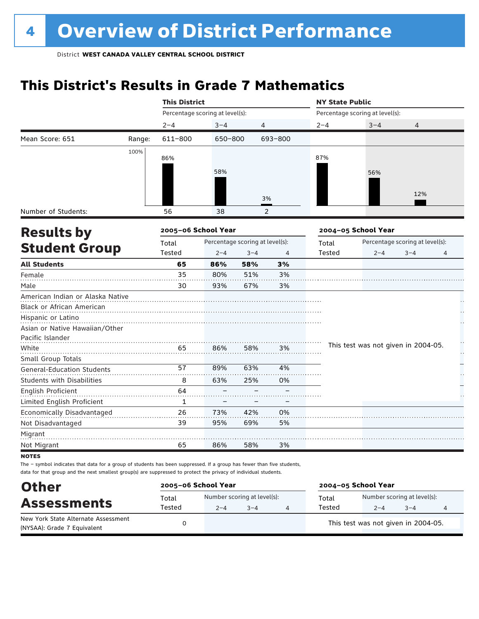# **This District's Results in Grade 7 Mathematics**

|                                   |        | <b>This District</b> |                                 |         |         | <b>NY State Public</b> |                                     |                                 |    |
|-----------------------------------|--------|----------------------|---------------------------------|---------|---------|------------------------|-------------------------------------|---------------------------------|----|
|                                   |        |                      | Percentage scoring at level(s): |         |         |                        | Percentage scoring at level(s):     |                                 |    |
|                                   |        | $2 - 4$              | $3 - 4$                         | 4       |         | $2 - 4$                | $3 - 4$                             | 4                               |    |
| Mean Score: 651                   | Range: | 611-800              | 650-800                         |         | 693-800 |                        |                                     |                                 |    |
|                                   | 100%   |                      |                                 |         |         | 87%                    |                                     |                                 |    |
|                                   |        | 86%                  |                                 |         |         |                        |                                     |                                 |    |
|                                   |        |                      | 58%                             |         |         |                        | 56%                                 |                                 |    |
|                                   |        |                      |                                 |         |         |                        |                                     |                                 |    |
|                                   |        |                      |                                 |         | 3%      |                        |                                     | 12%                             |    |
| Number of Students:               |        | 56                   | 38                              |         | 2       |                        |                                     |                                 |    |
| <b>Results by</b>                 |        | 2005-06 School Year  |                                 |         |         |                        | 2004-05 School Year                 |                                 |    |
|                                   |        | Total                | Percentage scoring at level(s): |         |         | Total                  |                                     | Percentage scoring at level(s): |    |
| <b>Student Group</b>              |        | Tested               | $2 - 4$                         | $3 - 4$ | 4       | Tested                 | $2 - 4$                             | $3 - 4$                         | 4  |
| <b>All Students</b>               |        | 65                   | 86%                             | 58%     | 3%      |                        |                                     |                                 |    |
| Female                            |        | 35                   | 80%                             | 51%     | 3%      |                        |                                     |                                 |    |
| Male                              |        | 30                   | 93%                             | 67%     | 3%      |                        |                                     |                                 |    |
| American Indian or Alaska Native  |        |                      |                                 |         |         |                        |                                     |                                 |    |
| <b>Black or African American</b>  |        |                      |                                 |         |         |                        |                                     |                                 |    |
| Hispanic or Latino                |        |                      |                                 |         |         |                        |                                     |                                 |    |
| Asian or Native Hawaiian/Other    |        |                      |                                 |         |         |                        |                                     |                                 |    |
| Pacific Islander                  |        |                      |                                 |         |         |                        |                                     |                                 |    |
| White                             |        | 65                   | 86%                             | 58%     | 3%      |                        | This test was not given in 2004-05. |                                 | μ, |
| Small Group Totals                |        |                      |                                 |         |         |                        |                                     |                                 |    |
| General-Education Students        |        | 57                   | 89%                             | 63%     | 4%      |                        |                                     |                                 |    |
| <b>Students with Disabilities</b> |        | 8                    | 63%                             | 25%     | 0%      |                        |                                     |                                 |    |
| English Proficient                |        | 64                   |                                 |         |         |                        |                                     |                                 |    |
| Limited English Proficient        |        | 1                    |                                 |         |         |                        |                                     |                                 |    |
| Economically Disadvantaged        |        | 26                   | 73%                             | 42%     | 0%      |                        |                                     |                                 |    |
| Not Disadvantaged                 |        | 39                   | 95%                             | 69%     | 5%      |                        |                                     |                                 |    |
| Migrant                           |        |                      |                                 |         |         |                        |                                     |                                 |    |
| Not Migrant                       |        | 65                   | 86%                             | 58%     | 3%      |                        |                                     |                                 |    |
|                                   |        |                      |                                 |         |         |                        |                                     |                                 |    |

notes

| <b>Other</b>                                                       | 2005-06 School Year |                                        | 2004-05 School Year |                 |                                        |         |  |
|--------------------------------------------------------------------|---------------------|----------------------------------------|---------------------|-----------------|----------------------------------------|---------|--|
| <b>Assessments</b>                                                 | Total<br>Tested     | Number scoring at level(s):<br>$2 - 4$ | $3 - 4$             | Total<br>Tested | Number scoring at level(s):<br>$2 - 4$ | $3 - 4$ |  |
| New York State Alternate Assessment<br>(NYSAA): Grade 7 Equivalent |                     |                                        |                     |                 | This test was not given in 2004-05.    |         |  |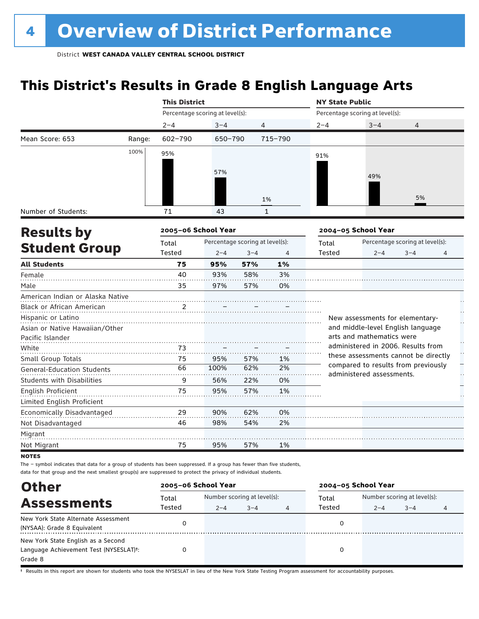# **This District's Results in Grade 8 English Language Arts**

|                                   |        | <b>This District</b>            |                                 |                |              | <b>NY State Public</b> |                                                                             |                                 |    |  |  |
|-----------------------------------|--------|---------------------------------|---------------------------------|----------------|--------------|------------------------|-----------------------------------------------------------------------------|---------------------------------|----|--|--|
|                                   |        | Percentage scoring at level(s): |                                 |                |              |                        | Percentage scoring at level(s):                                             |                                 |    |  |  |
|                                   |        | $2 - 4$                         | $3 - 4$                         | $\overline{4}$ |              | $2 - 4$                | $3 - 4$                                                                     | 4                               |    |  |  |
| Mean Score: 653                   | Range: | $602 - 790$                     | 650-790                         |                | 715-790      |                        |                                                                             |                                 |    |  |  |
|                                   | 100%   | 95%                             |                                 |                |              | 91%                    |                                                                             |                                 |    |  |  |
|                                   |        |                                 |                                 |                |              |                        |                                                                             |                                 |    |  |  |
|                                   |        |                                 | 57%                             |                |              |                        | 49%                                                                         |                                 |    |  |  |
|                                   |        |                                 |                                 |                |              |                        |                                                                             |                                 |    |  |  |
|                                   |        |                                 |                                 |                | 1%           |                        |                                                                             | 5%                              |    |  |  |
| Number of Students:               |        | 71                              | 43                              |                | $\mathbf{1}$ |                        |                                                                             |                                 |    |  |  |
| <b>Results by</b>                 |        | 2005-06 School Year             |                                 |                |              |                        | 2004-05 School Year                                                         |                                 |    |  |  |
|                                   |        | Total                           | Percentage scoring at level(s): |                |              | Total                  |                                                                             | Percentage scoring at level(s): |    |  |  |
| <b>Student Group</b>              |        | Tested                          | $2 - 4$                         | $3 - 4$        | 4            | <b>Tested</b>          | $2 - 4$                                                                     | $3 - 4$                         | 4  |  |  |
| <b>All Students</b>               |        | 75                              | 95%                             | 57%            | 1%           |                        |                                                                             |                                 |    |  |  |
| Female                            |        | 40                              | 93%                             | 58%            | 3%           |                        |                                                                             |                                 |    |  |  |
| Male                              |        | 35                              | 97%                             | 57%            | 0%           |                        |                                                                             |                                 |    |  |  |
| American Indian or Alaska Native  |        |                                 |                                 |                |              |                        |                                                                             |                                 |    |  |  |
| Black or African American         |        | 2                               |                                 |                |              |                        |                                                                             |                                 |    |  |  |
| Hispanic or Latino                |        |                                 |                                 |                |              |                        | New assessments for elementary-                                             |                                 |    |  |  |
| Asian or Native Hawaiian/Other    |        |                                 |                                 |                |              |                        | and middle-level English language                                           |                                 |    |  |  |
| Pacific Islander                  |        |                                 |                                 |                |              |                        | arts and mathematics were                                                   |                                 |    |  |  |
| White                             |        | 73                              |                                 |                |              |                        | administered in 2006. Results from                                          |                                 | H  |  |  |
| Small Group Totals                |        | 75                              | 95%                             | 57%            | 1%           |                        | these assessments cannot be directly<br>compared to results from previously |                                 |    |  |  |
| <b>General-Education Students</b> |        | 66                              | 100%                            | 62%            | 2%           |                        | administered assessments.                                                   |                                 | Н, |  |  |
| <b>Students with Disabilities</b> |        | 9                               | 56%                             | 22%            | 0%           |                        |                                                                             |                                 |    |  |  |
| English Proficient                |        | 75                              | 95%                             | 57%            | 1%           |                        |                                                                             |                                 |    |  |  |
| Limited English Proficient        |        |                                 |                                 |                |              |                        |                                                                             |                                 |    |  |  |
| Economically Disadvantaged        |        | 29                              | 90%                             | 62%            | 0%           |                        |                                                                             |                                 |    |  |  |
| Not Disadvantaged                 |        | 46                              | 98%                             | 54%            | 2%           |                        |                                                                             |                                 |    |  |  |
| Migrant                           |        |                                 |                                 |                |              |                        |                                                                             |                                 |    |  |  |
| Not Migrant                       |        | 75                              | 95%                             | 57%            | 1%           |                        |                                                                             |                                 |    |  |  |
| <b>NOTES</b>                      |        |                                 |                                 |                |              |                        |                                                                             |                                 |    |  |  |

The – symbol indicates that data for a group of students has been suppressed. If a group has fewer than five students, data for that group and the next smallest group(s) are suppressed to protect the privacy of individual students.

| <b>Other</b>                                        | 2005-06 School Year |                             |         |   | 2004-05 School Year |                             |         |   |  |
|-----------------------------------------------------|---------------------|-----------------------------|---------|---|---------------------|-----------------------------|---------|---|--|
| <b>Assessments</b>                                  | Total               | Number scoring at level(s): |         |   | Total               | Number scoring at level(s): |         |   |  |
|                                                     | Tested              | $2 - 4$                     | $3 - 4$ | 4 | Tested              | $2 - 4$                     | $3 - 4$ | 4 |  |
| New York State Alternate Assessment                 |                     |                             |         |   |                     |                             |         |   |  |
| (NYSAA): Grade 8 Equivalent                         |                     |                             |         |   |                     |                             |         |   |  |
| New York State English as a Second                  |                     |                             |         |   |                     |                             |         |   |  |
| Language Achievement Test (NYSESLAT) <sup>t</sup> : |                     |                             |         |   |                     |                             |         |   |  |
| Grade 8                                             |                     |                             |         |   |                     |                             |         |   |  |

† Results in this report are shown for students who took the NYSESLAT in lieu of the New York State Testing Program assessment for accountability purposes.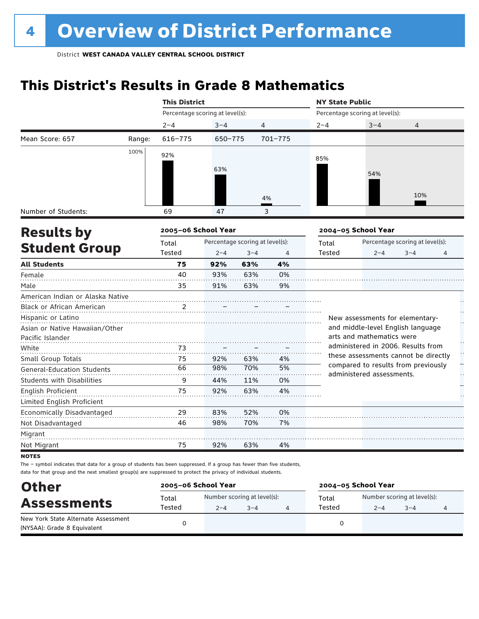# **This District's Results in Grade 8 Mathematics**

|                                   |        | <b>This District</b>   |                                 |                |             | <b>NY State Public</b> |                                                                  |                                 |    |  |
|-----------------------------------|--------|------------------------|---------------------------------|----------------|-------------|------------------------|------------------------------------------------------------------|---------------------------------|----|--|
|                                   |        |                        | Percentage scoring at level(s): |                |             |                        | Percentage scoring at level(s):                                  |                                 |    |  |
|                                   |        | $2 - 4$                | $3 - 4$                         |                | 4           | $2 - 4$                | $3 - 4$                                                          | 4                               |    |  |
| Mean Score: 657                   | Range: | $616 - 775$            | 650-775                         |                | $701 - 775$ |                        |                                                                  |                                 |    |  |
|                                   | 100%   | 92%                    |                                 |                |             |                        |                                                                  |                                 |    |  |
|                                   |        |                        |                                 |                |             | 85%                    |                                                                  |                                 |    |  |
|                                   |        |                        | 63%                             |                |             |                        | 54%                                                              |                                 |    |  |
|                                   |        |                        |                                 |                |             |                        |                                                                  |                                 |    |  |
|                                   |        |                        |                                 |                | 4%          |                        |                                                                  | 10%                             |    |  |
| Number of Students:               |        | 69                     | 47                              |                | 3           |                        |                                                                  |                                 |    |  |
|                                   |        |                        |                                 |                |             |                        |                                                                  |                                 |    |  |
| <b>Results by</b>                 |        | 2005-06 School Year    |                                 |                |             |                        | 2004-05 School Year                                              |                                 |    |  |
| <b>Student Group</b>              |        | Total<br><b>Tested</b> | Percentage scoring at level(s): |                |             | Total<br><b>Tested</b> |                                                                  | Percentage scoring at level(s): |    |  |
| <b>All Students</b>               |        | 75                     | $2 - 4$                         | $3 - 4$<br>63% | 4<br>4%     |                        | $2 - 4$                                                          | $3 - 4$                         | 4  |  |
| Female                            |        | 40                     | 92%<br>93%                      | 63%            | 0%          |                        |                                                                  |                                 |    |  |
| Male                              |        | 35                     | 91%                             | 63%            | 9%          |                        |                                                                  |                                 |    |  |
| American Indian or Alaska Native  |        |                        |                                 |                |             |                        |                                                                  |                                 |    |  |
| <b>Black or African American</b>  |        | 2                      |                                 |                |             |                        |                                                                  |                                 |    |  |
| Hispanic or Latino                |        |                        |                                 |                |             |                        | New assessments for elementary-                                  |                                 |    |  |
| Asian or Native Hawaiian/Other    |        |                        |                                 |                |             |                        | and middle-level English language                                |                                 | μ, |  |
| Pacific Islander                  |        |                        |                                 |                |             |                        | arts and mathematics were                                        |                                 |    |  |
| White                             |        | 73                     |                                 |                |             |                        | administered in 2006. Results from                               |                                 |    |  |
| Small Group Totals                |        | 75                     | 92%                             | 63%            | 4%          |                        | these assessments cannot be directly                             |                                 | Ļ. |  |
| <b>General-Education Students</b> |        | 66                     | 98%                             | 70%            | 5%          |                        | compared to results from previously<br>administered assessments. |                                 |    |  |
| <b>Students with Disabilities</b> |        | 9                      | 44%                             | 11%            | 0%          |                        |                                                                  |                                 | ŗ, |  |
| <b>English Proficient</b>         |        | 75                     | 92%                             | 63%            | 4%          |                        |                                                                  |                                 |    |  |
| Limited English Proficient        |        |                        |                                 |                |             |                        |                                                                  |                                 |    |  |
| Economically Disadvantaged        |        | 29                     | 83%                             | 52%            | 0%          |                        |                                                                  |                                 |    |  |
| Not Disadvantaged                 |        | 46                     | 98%                             | 70%            | 7%          |                        |                                                                  |                                 |    |  |
| Migrant                           |        |                        |                                 |                |             |                        |                                                                  |                                 |    |  |
| Not Migrant                       |        | 75                     | 92%                             | 63%            | 4%          |                        |                                                                  |                                 |    |  |
|                                   |        |                        |                                 |                |             |                        |                                                                  |                                 |    |  |

**NOTES** 

| <b>Other</b><br><b>Assessments</b>                                 | 2005-06 School Year |         |                                        | 2004-05 School Year |                                        |         |  |  |
|--------------------------------------------------------------------|---------------------|---------|----------------------------------------|---------------------|----------------------------------------|---------|--|--|
|                                                                    | Total<br>Tested     | $2 - 4$ | Number scoring at level(s):<br>$3 - 4$ | Total<br>Tested     | Number scoring at level(s):<br>$2 - 4$ | $3 - 4$ |  |  |
| New York State Alternate Assessment<br>(NYSAA): Grade 8 Equivalent |                     |         |                                        |                     |                                        |         |  |  |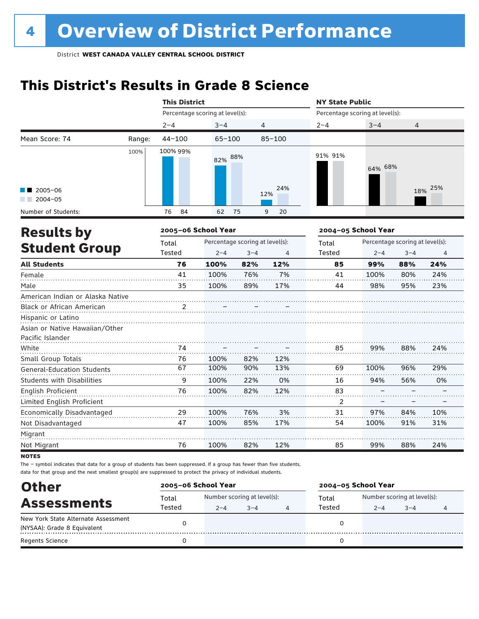# **This District's Results in Grade 8 Science**

|                                       |        | <b>This District</b> |                                 |         |                | <b>NY State Public</b>          |                     |                                 |         |  |  |
|---------------------------------------|--------|----------------------|---------------------------------|---------|----------------|---------------------------------|---------------------|---------------------------------|---------|--|--|
|                                       |        |                      | Percentage scoring at level(s): |         |                | Percentage scoring at level(s): |                     |                                 |         |  |  |
|                                       |        | $2 - 4$              | $3 - 4$                         | 4       |                | $2 - 4$                         | $3 - 4$             | $\overline{4}$                  |         |  |  |
| Mean Score: 74                        | Range: | $44 - 100$           | $65 - 100$                      |         | $85 - 100$     |                                 |                     |                                 |         |  |  |
| $\blacksquare$ 2005-06<br>$2004 - 05$ | 100%   | 100% 99%             | 82% 88%                         |         | 24%<br>12%     | 91% 91%                         | 64% 68%             |                                 | 18% 25% |  |  |
| Number of Students:                   |        | 84<br>76             | 62                              | 75      | 9<br>20        |                                 |                     |                                 |         |  |  |
| <b>Results by</b>                     |        | 2005-06 School Year  |                                 |         |                |                                 | 2004-05 School Year |                                 |         |  |  |
|                                       |        | Total                | Percentage scoring at level(s): |         |                | Total                           |                     | Percentage scoring at level(s): |         |  |  |
| <b>Student Group</b>                  |        | Tested               | $2 - 4$                         | $3 - 4$ | $\overline{4}$ | Tested                          | $2 - 4$             | $3 - 4$                         | 4       |  |  |
| <b>All Students</b>                   |        | 76                   | 100%                            | 82%     | 12%            | 85                              | 99%                 | 88%                             | 24%     |  |  |
| Female                                |        | 41                   | 100%                            | 76%     | 7%             | 41                              | 100%                | 80%                             | 24%     |  |  |
| Male                                  |        | 35                   | 100%                            | 89%     | 17%            | 44                              | 98%                 | 95%                             | 23%     |  |  |
| American Indian or Alaska Native      |        |                      |                                 |         |                |                                 |                     |                                 |         |  |  |
| Black or African American             |        | 2                    |                                 |         |                |                                 |                     |                                 |         |  |  |
| Hispanic or Latino                    |        |                      |                                 |         |                |                                 |                     |                                 |         |  |  |
| Asian or Native Hawaiian/Other        |        |                      |                                 |         |                |                                 |                     |                                 |         |  |  |
| Pacific Islander                      |        |                      |                                 |         |                |                                 |                     |                                 |         |  |  |
| White                                 |        | 74                   |                                 |         |                | 85                              | 99%                 | 88%                             | 24%     |  |  |
| Small Group Totals                    |        | 76                   | 100%                            | 82%     | 12%            |                                 |                     |                                 |         |  |  |
| <b>General-Education Students</b>     |        | 67                   | 100%                            | 90%     | 13%            | 69                              | 100%                | 96%                             | 29%     |  |  |
| <b>Students with Disabilities</b>     |        | 9                    | 100%                            | 22%     | 0%             | 16                              | 94%                 | 56%                             | 0%      |  |  |
| English Proficient                    |        | 76                   | 100%                            | 82%     | 12%            | 83                              |                     |                                 |         |  |  |
| Limited English Proficient            |        |                      |                                 |         |                | 2                               |                     |                                 |         |  |  |
| Economically Disadvantaged            |        | 29                   | 100%                            | 76%     | 3%             | 31                              | 97%                 | 84%                             | 10%     |  |  |
| Not Disadvantaged                     |        | 47                   | 100%                            | 85%     | 17%            | 54                              | 100%                | 91%                             | 31%     |  |  |
| Migrant                               |        |                      |                                 |         |                |                                 |                     |                                 |         |  |  |
| Not Migrant                           |        | 76                   | 100%                            | 82%     | 12%            | 85                              | 99%                 | 88%                             | 24%     |  |  |

**NOTES** 

| <b>Other</b>                        | 2005-06 School Year |                                   |  |  | 2004-05 School Year |                             |         |  |
|-------------------------------------|---------------------|-----------------------------------|--|--|---------------------|-----------------------------|---------|--|
| <b>Assessments</b>                  | Total               | Number scoring at level(s):       |  |  | Total               | Number scoring at level(s): |         |  |
|                                     | Tested              | Tested<br>$3 - 4$<br>$2 - 4$<br>4 |  |  |                     | $2 - 4$                     | $3 - 4$ |  |
| New York State Alternate Assessment |                     |                                   |  |  |                     |                             |         |  |
| (NYSAA): Grade 8 Equivalent         |                     |                                   |  |  |                     |                             |         |  |
| <b>Regents Science</b>              |                     |                                   |  |  |                     |                             |         |  |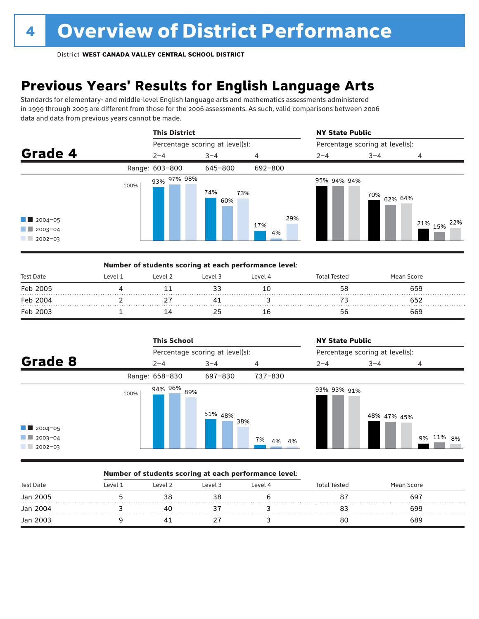# **Previous Years' Results for English Language Arts**

Standards for elementary- and middle-level English language arts and mathematics assessments administered in 1999 through 2005 are different from those for the 2006 assessments. As such, valid comparisons between 2006 data and data from previous years cannot be made.



|           |         | Number of students scoring at each performance level: |         |         |              |            |  |
|-----------|---------|-------------------------------------------------------|---------|---------|--------------|------------|--|
| Test Date | Level 1 | Level 2                                               | Level 3 | Level 4 | Total Tested | Mean Score |  |
| Feb 2005  |         |                                                       |         | 10      | 58           | 659        |  |
| Feb 2004  |         |                                                       |         |         |              | 652        |  |
| Feb 2003  |         |                                                       |         | 16      | 56           | 669        |  |

|                                                                 |      | <b>This School</b> |                                 |             | <b>NY State Public</b>          |             |           |  |
|-----------------------------------------------------------------|------|--------------------|---------------------------------|-------------|---------------------------------|-------------|-----------|--|
|                                                                 |      |                    | Percentage scoring at level(s): |             | Percentage scoring at level(s): |             |           |  |
| Grade 8                                                         |      | $2 - 4$            | $3 - 4$                         | 4           | $2 - 4$                         | $3 - 4$     | 4         |  |
|                                                                 |      | Range: 658-830     | 697-830                         | 737-830     |                                 |             |           |  |
| $\blacksquare$ 2004-05<br>$\blacksquare$ 2003-04<br>$2002 - 03$ | 100% | 94% 96% 89%        | 51% 48%<br>38%                  | 7%<br>4% 4% | 93% 93% 91%                     | 48% 47% 45% | 9% 11% 8% |  |

### Number of students scoring at each performance level:

| <b>Test Date</b> | Level 1 | Level 2 | Level 3 | Level 4 | Tester | an Score |  |
|------------------|---------|---------|---------|---------|--------|----------|--|
| Jan 2005<br>.    |         |         |         |         |        | 697      |  |
| Jan 2004<br>.    |         |         |         |         |        | 699      |  |
| Jan 2003         |         |         |         |         | 80     | 689      |  |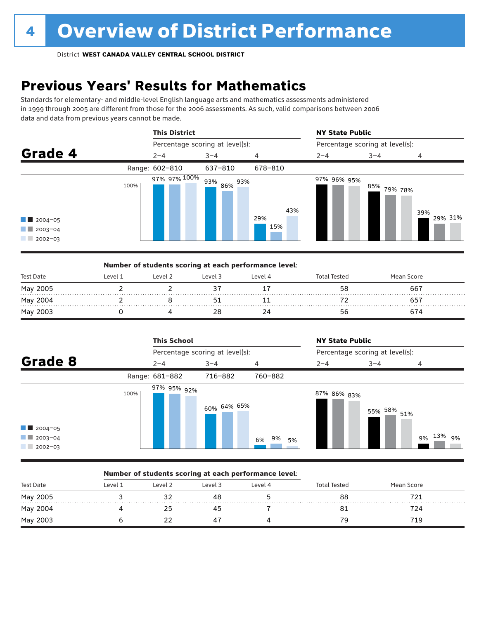# **Previous Years' Results for Mathematics**

Standards for elementary- and middle-level English language arts and mathematics assessments administered in 1999 through 2005 are different from those for the 2006 assessments. As such, valid comparisons between 2006 data and data from previous years cannot be made.



|           |         | Number of students scoring at each performance level: |         |         |                     |            |  |
|-----------|---------|-------------------------------------------------------|---------|---------|---------------------|------------|--|
| Test Date | Level 1 | Level 2                                               | Level 3 | Level 4 | <b>Total Tested</b> | Mean Score |  |
| May 2005  |         |                                                       |         |         | 58                  | 667        |  |
| May 2004  |         |                                                       |         |         |                     |            |  |
| May 2003  |         |                                                       |         | 24      | bh                  |            |  |



### Number of students scoring at each performance level:

| <b>Test Date</b> | <b>AVAL</b> | l evel 2 | Level 3 | Level 4 | Total Tested | Mean Score |  |
|------------------|-------------|----------|---------|---------|--------------|------------|--|
| May 2005         |             |          | 4ծ      |         | oc           |            |  |
| May 2004         |             |          |         |         |              |            |  |
| May 2003         |             |          | ≖       |         |              | 71 C       |  |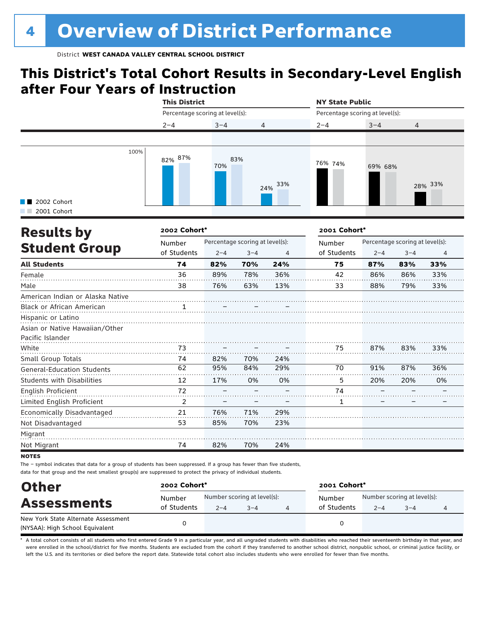# **This District's Total Cohort Results in Secondary-Level English after Four Years of Instruction**

|                                           |      | <b>This District</b>            |            |            | <b>NY State Public</b>          |         |         |  |
|-------------------------------------------|------|---------------------------------|------------|------------|---------------------------------|---------|---------|--|
|                                           |      | Percentage scoring at level(s): |            |            | Percentage scoring at level(s): |         |         |  |
|                                           |      | $2 - 4$                         | $3 - 4$    | 4          | $2 - 4$                         | $3 - 4$ | 4       |  |
|                                           |      |                                 |            |            |                                 |         |         |  |
| $\blacksquare$ 2002 Cohort<br>2001 Cohort | 100% | 82% 87%                         | 83%<br>70% | 33%<br>24% | 76% 74%                         | 69% 68% | 28% 33% |  |
| <b>Results hy</b>                         |      | 2002 Cohort*                    |            |            | 2001 Cohort*                    |         |         |  |

| <b>Results by</b>                 | 2002 Cohort* |         |                                 |     | 2001 Cohort* |         |                                 |                |
|-----------------------------------|--------------|---------|---------------------------------|-----|--------------|---------|---------------------------------|----------------|
|                                   | Number       |         | Percentage scoring at level(s): |     | Number       |         | Percentage scoring at level(s): |                |
| <b>Student Group</b>              | of Students  | $2 - 4$ | $3 - 4$                         | 4   | of Students  | $2 - 4$ | $3 - 4$                         | $\overline{4}$ |
| <b>All Students</b>               | 74           | 82%     | 70%                             | 24% | 75           | 87%     | 83%                             | 33%            |
| Female                            | 36           | 89%     | 78%                             | 36% | 42           | 86%     | 86%                             | 33%            |
| Male                              | 38           | 76%     | 63%                             | 13% | 33           | 88%     | 79%                             | 33%            |
| American Indian or Alaska Native  |              |         |                                 |     |              |         |                                 |                |
| Black or African American         | 1            |         |                                 |     |              |         |                                 |                |
| Hispanic or Latino                |              |         |                                 |     |              |         |                                 |                |
| Asian or Native Hawaiian/Other    |              |         |                                 |     |              |         |                                 |                |
| Pacific Islander                  |              |         |                                 |     |              |         |                                 |                |
| White                             | 73           |         |                                 |     | 75           | 87%     | 83%                             | 33%            |
| Small Group Totals                | 74           | 82%     | 70%                             | 24% |              |         |                                 |                |
| <b>General-Education Students</b> | 62           | 95%     | 84%                             | 29% | 70           | 91%     | 87%                             | 36%            |
| <b>Students with Disabilities</b> | 12           | 17%     | 0%                              | 0%  | 5            | 20%     | 20%                             | 0%             |
| English Proficient                | 72           |         |                                 |     | 74           |         |                                 |                |
| Limited English Proficient        | 2            |         |                                 |     | 1            |         |                                 |                |
| Economically Disadvantaged        | 21           | 76%     | 71%                             | 29% |              |         |                                 |                |
| Not Disadvantaged                 | 53           | 85%     | 70%                             | 23% |              |         |                                 |                |
| Migrant                           |              |         |                                 |     |              |         |                                 |                |
| Not Migrant                       | 74           | 82%     | 70%                             | 24% |              |         |                                 |                |

**NOTES** 

The – symbol indicates that data for a group of students has been suppressed. If a group has fewer than five students, data for that group and the next smallest group(s) are suppressed to protect the privacy of individual students.

| <b>Other</b><br><b>Assessments</b><br>New York State Alternate Assessment | 2002 Cohort* |                             |         |  | 2001 Cohort*          |                             |         |  |  |
|---------------------------------------------------------------------------|--------------|-----------------------------|---------|--|-----------------------|-----------------------------|---------|--|--|
|                                                                           | Number       | Number scoring at level(s): |         |  | Number<br>of Students | Number scoring at level(s): |         |  |  |
|                                                                           | of Students  | $2 - 4$                     | $3 - 4$ |  |                       | $2 - 4$                     | $3 - 4$ |  |  |
| (NYSAA): High School Equivalent                                           |              |                             |         |  |                       |                             |         |  |  |

A total cohort consists of all students who first entered Grade 9 in a particular year, and all ungraded students with disabilities who reached their seventeenth birthday in that year, and were enrolled in the school/district for five months. Students are excluded from the cohort if they transferred to another school district, nonpublic school, or criminal justice facility, or left the U.S. and its territories or died before the report date. Statewide total cohort also includes students who were enrolled for fewer than five months.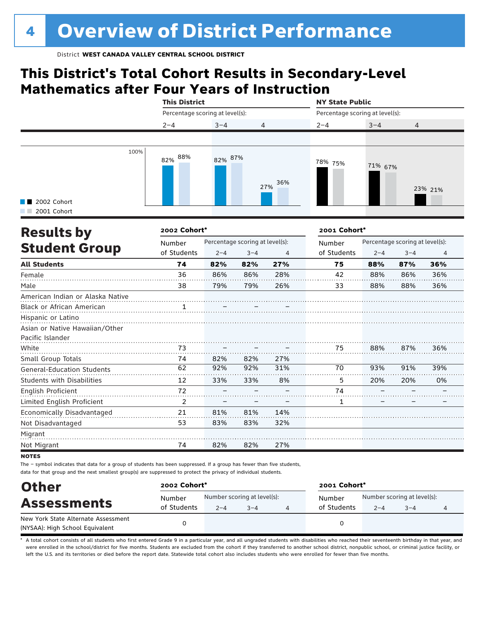# **This District's Total Cohort Results in Secondary-Level Mathematics after Four Years of Instruction**

|                                          | <b>This District</b> |                                 |                                 |              | <b>NY State Public</b>          |                |  |  |  |
|------------------------------------------|----------------------|---------------------------------|---------------------------------|--------------|---------------------------------|----------------|--|--|--|
|                                          |                      | Percentage scoring at level(s): |                                 |              | Percentage scoring at level(s): |                |  |  |  |
|                                          | $2 - 4$              | $3 - 4$                         | 4                               | $2 - 4$      | $3 - 4$                         | $\overline{4}$ |  |  |  |
|                                          |                      |                                 |                                 |              |                                 |                |  |  |  |
| 100%<br>2002 Cohort<br>H.<br>2001 Cohort | 82% 88%              | 82% 87%                         | 36%<br>27%                      | 78% 75%      | 71% 67%                         | 23% 21%        |  |  |  |
| <b>Results by</b>                        | 2002 Cohort*         |                                 |                                 | 2001 Cohort* |                                 |                |  |  |  |
|                                          | Number               |                                 | Percentage scoring at level(s): | Number       | Percentage scoring at level(s): |                |  |  |  |
| <b>Student Group</b>                     | of Students          | $2 - 4$                         | $3 - 4$<br>4                    | of Students  | $2 - 4$                         | 4<br>$3 - 4$   |  |  |  |

| ,,,,,,,,,,,,,,,,                  | of Students | $2 - 4$ | $3 - 4$ | 4   | of Students | $2 - 4$ | $3 - 4$ | 4   |
|-----------------------------------|-------------|---------|---------|-----|-------------|---------|---------|-----|
| <b>All Students</b>               | 74          | 82%     | 82%     | 27% | 75          | 88%     | 87%     | 36% |
| Female                            | 36          | 86%     | 86%     | 28% | 42          | 88%     | 86%     | 36% |
| Male                              | 38          | 79%     | 79%     | 26% | 33          | 88%     | 88%     | 36% |
| American Indian or Alaska Native  |             |         |         |     |             |         |         |     |
| Black or African American         |             |         |         |     |             |         |         |     |
| Hispanic or Latino                |             |         |         |     |             |         |         |     |
| Asian or Native Hawaiian/Other    |             |         |         |     |             |         |         |     |
| Pacific Islander                  |             |         |         |     |             |         |         |     |
| White                             | 73          |         |         |     | 75          | 88%     | 87%     | 36% |
| Small Group Totals                | 74          | 82%     | 82%     | 27% |             |         |         |     |
| General-Education Students        | 62          | 92%     | 92%     | 31% | 70          | 93%     | 91%     | 39% |
| <b>Students with Disabilities</b> | 12          | 33%     | 33%     | 8%  | 5           | 20%     | 20%     | 0%  |
| English Proficient                | 72          |         |         |     | 74          |         |         |     |
| Limited English Proficient        | 2           |         |         |     | 1           |         |         |     |
| Economically Disadvantaged        | 21          | 81%     | 81%     | 14% |             |         |         |     |
| Not Disadvantaged                 | 53          | 83%     | 83%     | 32% |             |         |         |     |
| Migrant                           |             |         |         |     |             |         |         |     |
| Not Migrant                       | 74          | 82%     | 82%     | 27% |             |         |         |     |

**NOTES** 

The – symbol indicates that data for a group of students has been suppressed. If a group has fewer than five students, data for that group and the next smallest group(s) are suppressed to protect the privacy of individual students.

| <b>Other</b><br><b>Assessments</b>  | 2002 Cohort* |                             |         |  | 2001 Cohort* |                             |         |  |  |
|-------------------------------------|--------------|-----------------------------|---------|--|--------------|-----------------------------|---------|--|--|
|                                     | Number       | Number scoring at level(s): |         |  | Number       | Number scoring at level(s): |         |  |  |
|                                     | of Students  | $2 - 4$                     | $3 - 4$ |  | of Students  | $2 - 4$                     | $3 - 4$ |  |  |
| New York State Alternate Assessment |              |                             |         |  | 0            |                             |         |  |  |
| (NYSAA): High School Equivalent     |              |                             |         |  |              |                             |         |  |  |

A total cohort consists of all students who first entered Grade 9 in a particular year, and all ungraded students with disabilities who reached their seventeenth birthday in that year, and were enrolled in the school/district for five months. Students are excluded from the cohort if they transferred to another school district, nonpublic school, or criminal justice facility, or left the U.S. and its territories or died before the report date. Statewide total cohort also includes students who were enrolled for fewer than five months.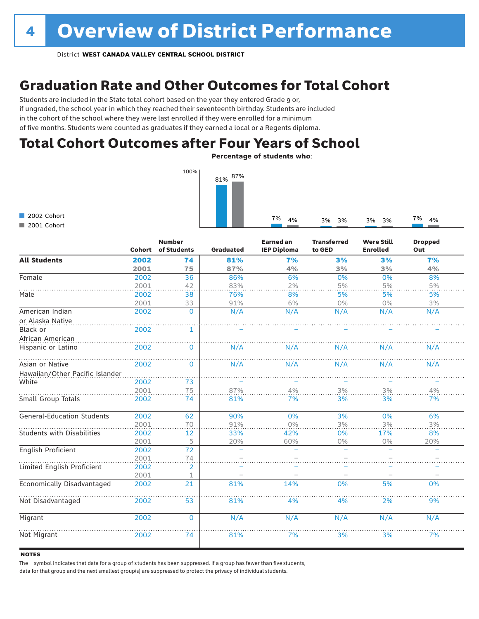# Graduation Rate and Other Outcomes for Total Cohort

Students are included in the State total cohort based on the year they entered Grade 9 or, if ungraded, the school year in which they reached their seventeenth birthday. Students are included in the cohort of the school where they were last enrolled if they were enrolled for a minimum of five months. Students were counted as graduates if they earned a local or a Regents diploma.

## Total Cohort Outcomes after Four Years of School

Percentage of students who:



2002 Cohort 2001 Cohort

|                                   | Cohort | <b>Number</b><br>of Students | <b>Graduated</b> | <b>Earned an</b><br><b>IEP Diploma</b> | <b>Transferred</b><br>to GED | <b>Were Still</b><br><b>Enrolled</b> | <b>Dropped</b><br>Out |
|-----------------------------------|--------|------------------------------|------------------|----------------------------------------|------------------------------|--------------------------------------|-----------------------|
| <b>All Students</b>               | 2002   | 74                           | 81%              | 7%                                     | 3%                           | 3%                                   | 7%                    |
|                                   | 2001   | 75                           | 87%              | 4%                                     | 3%                           | 3%                                   | 4%                    |
| Female                            | 2002   | 36                           | 86%              | 6%                                     | 0%                           | 0%                                   | 8%                    |
|                                   | 2001   | 42                           | 83%              | 2%                                     | 5%                           | 5%                                   | 5%                    |
| Male                              | 2002   | 38                           | 76%              | 8%                                     | 5%                           | 5%                                   | 5%                    |
|                                   | 2001   | 33                           | 91%              | 6%                                     | $0\%$                        | 0%                                   | 3%                    |
| American Indian                   | 2002   | $\overline{0}$               | N/A              | N/A                                    | N/A                          | N/A                                  | N/A                   |
| or Alaska Native                  |        |                              |                  |                                        |                              |                                      |                       |
| Black or                          | 2002   | 1                            |                  |                                        |                              |                                      |                       |
| African American                  |        |                              |                  |                                        |                              |                                      |                       |
| Hispanic or Latino                | 2002   | 0                            | N/A              | N/A                                    | N/A                          | N/A                                  | N/A                   |
| Asian or Native                   | 2002   | $\mathbf{0}$                 | N/A              | N/A                                    | N/A                          | N/A                                  | N/A                   |
| Hawaiian/Other Pacific Islander   |        |                              |                  |                                        |                              |                                      |                       |
| White                             | 2002   | 73                           |                  |                                        |                              |                                      |                       |
|                                   | 2001   | 75                           | 87%              | $4\%$                                  | $3\%$                        | 3%                                   | $4\%$                 |
| Small Group Totals                | 2002   | 74                           | 81%              | 7%                                     | 3%                           | 3%                                   | 7%                    |
| <b>General-Education Students</b> | 2002   | 62                           | 90%              | 0%                                     | 3%                           | 0%                                   | 6%                    |
|                                   | 2001   | 70                           | 91%              | 0%                                     | 3%                           | 3%                                   | 3%                    |
| <b>Students with Disabilities</b> | 2002   | 12                           | 33%              | 42%                                    | 0%                           | 17%                                  | 8%                    |
|                                   | 2001   | 5                            | 20%              | 60%                                    | 0%                           | 0%                                   | 20%                   |
| English Proficient                | 2002   | 72                           | ÷,               | $\overline{\phantom{0}}$               |                              | $\overline{\phantom{m}}$             |                       |
|                                   | 2001   | 74                           |                  |                                        |                              |                                      |                       |
| Limited English Proficient        | 2002   | 2                            |                  |                                        |                              |                                      |                       |
|                                   | 2001   | 1                            |                  |                                        |                              |                                      |                       |
| Economically Disadvantaged        | 2002   | 21                           | 81%              | 14%                                    | 0%                           | 5%                                   | 0%                    |
| Not Disadvantaged                 | 2002   | 53                           | 81%              | 4%                                     | 4%                           | 2%                                   | 9%                    |
| Migrant                           | 2002   | $\Omega$                     | N/A              | N/A                                    | N/A                          | N/A                                  | N/A                   |
| Not Migrant                       | 2002   | 74                           | 81%              | 7%                                     | 3%                           | 3%                                   | 7%                    |

### **NOTES**

The – symbol indicates that data for a group of s tudents has been suppressed. If a group has fewer than five students,

data for that group and the next smallest group(s) are suppressed to protect the privacy of individual students.